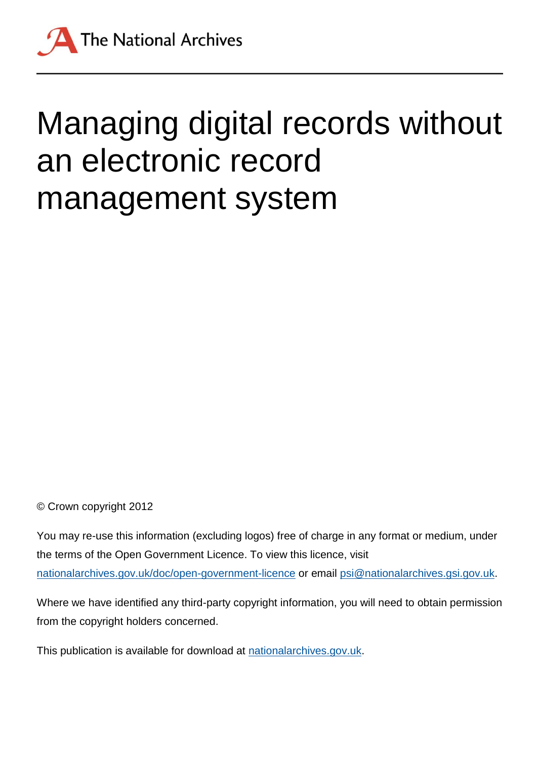

# Managing digital records without an electronic record management system

© Crown copyright 2012

You may re-use this information (excluding logos) free of charge in any format or medium, under the terms of the Open Government Licence. To view this licence, visit [nationalarchives.gov.uk/doc/open-government-licence](http://nationalarchives.gov.uk/doc/open-government-licence) or email [psi@nationalarchives.gsi.gov.uk.](mailto:psi@nationalarchives.gsi.gov.uk)

Where we have identified any third-party copyright information, you will need to obtain permission from the copyright holders concerned.

This publication is available for download at [nationalarchives.gov.uk.](http://nationalarchives.gov.uk/)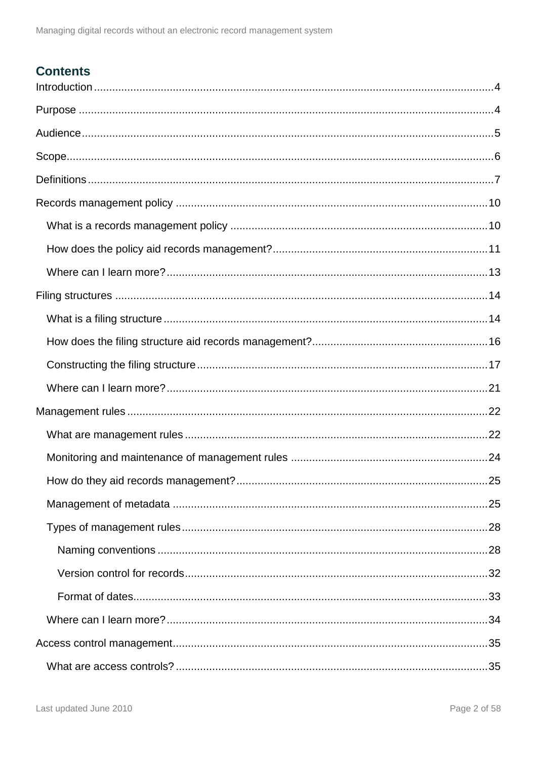### **Contents**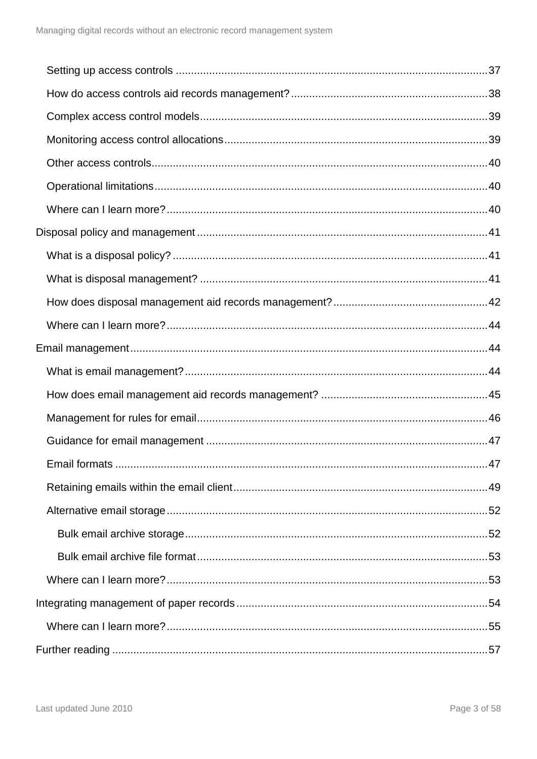| Email formats | 47 |
|---------------|----|
|               |    |
|               |    |
|               |    |
|               |    |
|               |    |
|               |    |
|               |    |
|               |    |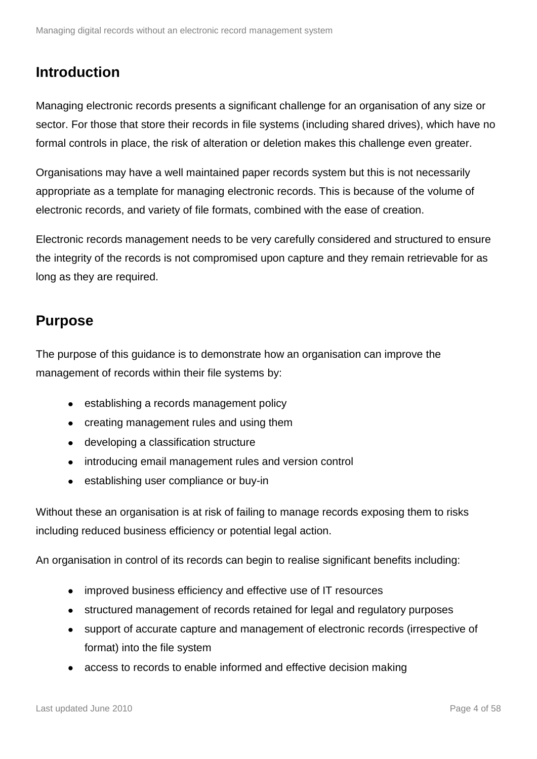### <span id="page-3-0"></span>**Introduction**

Managing electronic records presents a significant challenge for an organisation of any size or sector. For those that store their records in file systems (including shared drives), which have no formal controls in place, the risk of alteration or deletion makes this challenge even greater.

Organisations may have a well maintained paper records system but this is not necessarily appropriate as a template for managing electronic records. This is because of the volume of electronic records, and variety of file formats, combined with the ease of creation.

Electronic records management needs to be very carefully considered and structured to ensure the integrity of the records is not compromised upon capture and they remain retrievable for as long as they are required.

### <span id="page-3-1"></span>**Purpose**

The purpose of this guidance is to demonstrate how an organisation can improve the management of records within their file systems by:

- establishing a records management policy
- creating management rules and using them
- developing a classification structure
- introducing email management rules and version control  $\bullet$
- establishing user compliance or buy-in

Without these an organisation is at risk of failing to manage records exposing them to risks including reduced business efficiency or potential legal action.

An organisation in control of its records can begin to realise significant benefits including:

- improved business efficiency and effective use of IT resources  $\bullet$
- structured management of records retained for legal and regulatory purposes  $\bullet$
- support of accurate capture and management of electronic records (irrespective of format) into the file system
- access to records to enable informed and effective decision making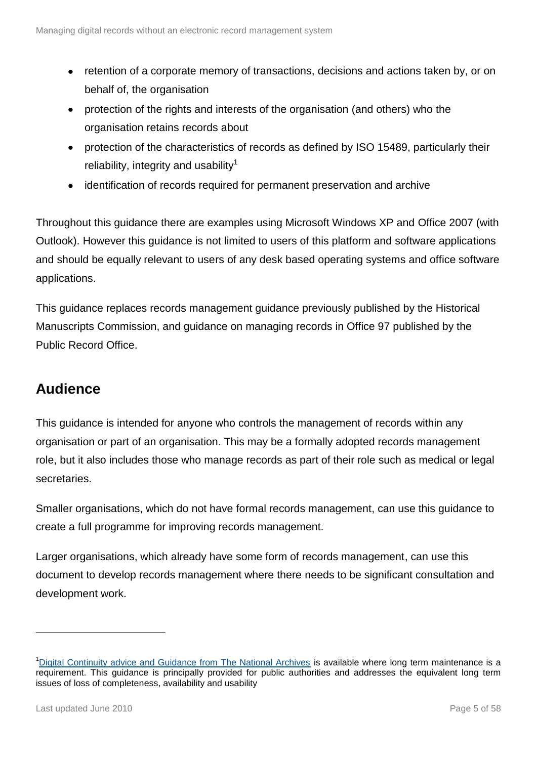- retention of a corporate memory of transactions, decisions and actions taken by, or on  $\bullet$ behalf of, the organisation
- protection of the rights and interests of the organisation (and others) who the organisation retains records about
- protection of the characteristics of records as defined by ISO 15489, particularly their  $\bullet$ reliability, integrity and usability<sup>1</sup>
- identification of records required for permanent preservation and archive  $\bullet$

Throughout this guidance there are examples using Microsoft Windows XP and Office 2007 (with Outlook). However this guidance is not limited to users of this platform and software applications and should be equally relevant to users of any desk based operating systems and office software applications.

This guidance replaces records management guidance previously published by the Historical Manuscripts Commission, and guidance on managing records in Office 97 published by the Public Record Office.

### <span id="page-4-0"></span>**Audience**

This guidance is intended for anyone who controls the management of records within any organisation or part of an organisation. This may be a formally adopted records management role, but it also includes those who manage records as part of their role such as medical or legal secretaries.

Smaller organisations, which do not have formal records management, can use this guidance to create a full programme for improving records management.

Larger organisations, which already have some form of records management, can use this document to develop records management where there needs to be significant consultation and development work.

1

<sup>&</sup>lt;sup>1</sup>[Digital Continuity advice and Guidance from The National Archives](http://www.nationalarchives.gov.uk/information-management/our-services/digital-continuity.htm) is available where long term maintenance is a requirement. This guidance is principally provided for public authorities and addresses the equivalent long term issues of loss of completeness, availability and usability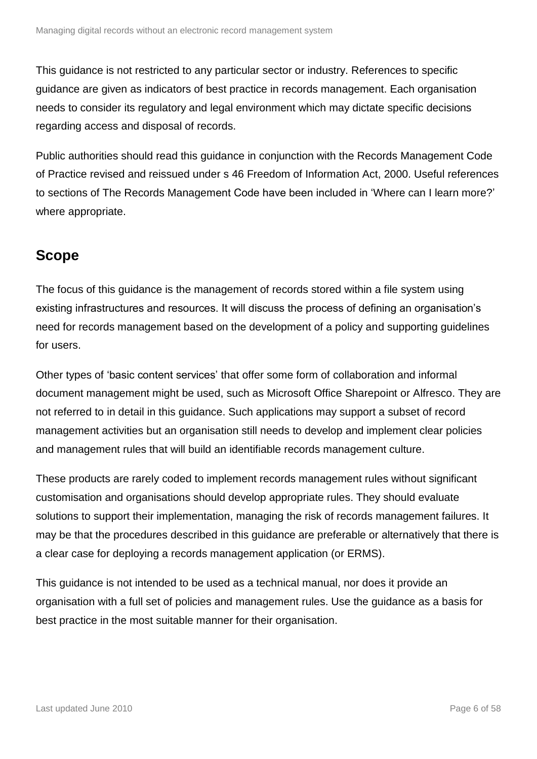This guidance is not restricted to any particular sector or industry. References to specific guidance are given as indicators of best practice in records management. Each organisation needs to consider its regulatory and legal environment which may dictate specific decisions regarding access and disposal of records.

Public authorities should read this guidance in conjunction with the Records Management Code of Practice revised and reissued under s 46 Freedom of Information Act, 2000. Useful references to sections of The Records Management Code have been included in 'Where can I learn more?' where appropriate.

### <span id="page-5-0"></span>**Scope**

The focus of this guidance is the management of records stored within a file system using existing infrastructures and resources. It will discuss the process of defining an organisation's need for records management based on the development of a policy and supporting guidelines for users.

Other types of 'basic content services' that offer some form of collaboration and informal document management might be used, such as Microsoft Office Sharepoint or Alfresco. They are not referred to in detail in this guidance. Such applications may support a subset of record management activities but an organisation still needs to develop and implement clear policies and management rules that will build an identifiable records management culture.

These products are rarely coded to implement records management rules without significant customisation and organisations should develop appropriate rules. They should evaluate solutions to support their implementation, managing the risk of records management failures. It may be that the procedures described in this guidance are preferable or alternatively that there is a clear case for deploying a records management application (or ERMS).

This guidance is not intended to be used as a technical manual, nor does it provide an organisation with a full set of policies and management rules. Use the guidance as a basis for best practice in the most suitable manner for their organisation.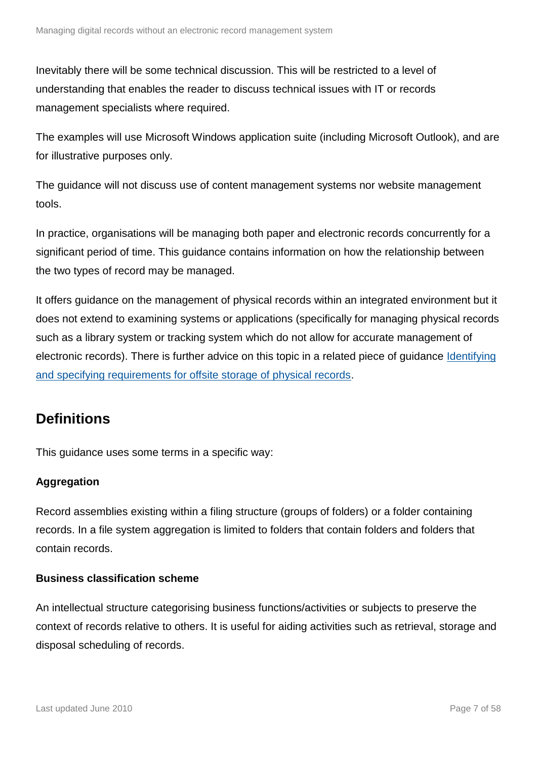Inevitably there will be some technical discussion. This will be restricted to a level of understanding that enables the reader to discuss technical issues with IT or records management specialists where required.

The examples will use Microsoft Windows application suite (including Microsoft Outlook), and are for illustrative purposes only.

The guidance will not discuss use of content management systems nor website management tools.

In practice, organisations will be managing both paper and electronic records concurrently for a significant period of time. This guidance contains information on how the relationship between the two types of record may be managed.

It offers guidance on the management of physical records within an integrated environment but it does not extend to examining systems or applications (specifically for managing physical records such as a library system or tracking system which do not allow for accurate management of electronic records). There is further advice on this topic in a related piece of guidance [Identifying](http://www.nationalarchives.gov.uk/documents/information-management/considerations-for-developing-an-offsite-store.pdf)  [and specifying requirements for offsite storage of physical records.](http://www.nationalarchives.gov.uk/documents/information-management/considerations-for-developing-an-offsite-store.pdf)

### <span id="page-6-0"></span>**Definitions**

This guidance uses some terms in a specific way:

#### **Aggregation**

Record assemblies existing within a filing structure (groups of folders) or a folder containing records. In a file system aggregation is limited to folders that contain folders and folders that contain records.

#### **Business classification scheme**

An intellectual structure categorising business functions/activities or subjects to preserve the context of records relative to others. It is useful for aiding activities such as retrieval, storage and disposal scheduling of records.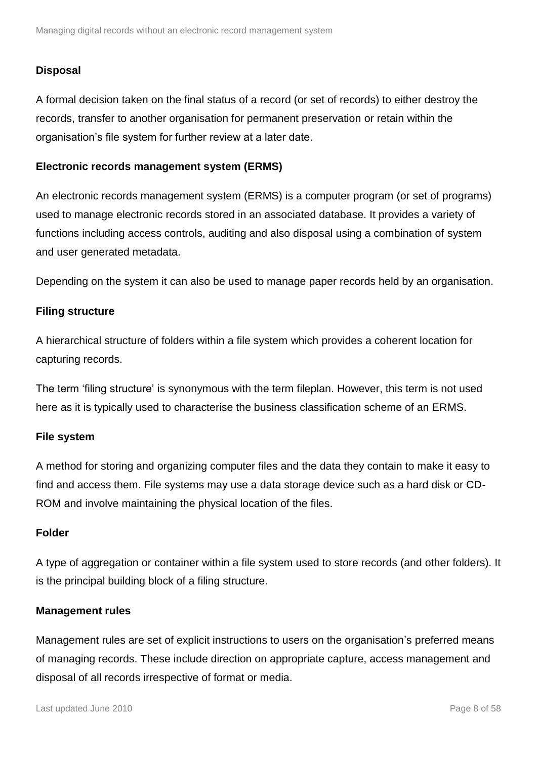#### **Disposal**

A formal decision taken on the final status of a record (or set of records) to either destroy the records, transfer to another organisation for permanent preservation or retain within the organisation's file system for further review at a later date.

#### **Electronic records management system (ERMS)**

An electronic records management system (ERMS) is a computer program (or set of programs) used to manage electronic records stored in an associated database. It provides a variety of functions including access controls, auditing and also disposal using a combination of system and user generated metadata.

Depending on the system it can also be used to manage paper records held by an organisation.

#### **Filing structure**

A hierarchical structure of folders within a file system which provides a coherent location for capturing records.

The term 'filing structure' is synonymous with the term fileplan. However, this term is not used here as it is typically used to characterise the business classification scheme of an ERMS.

#### **File system**

A method for storing and organizing computer files and the data they contain to make it easy to find and access them. File systems may use a data storage device such as a hard disk or CD-ROM and involve maintaining the physical location of the files.

#### **Folder**

A type of aggregation or container within a file system used to store records (and other folders). It is the principal building block of a filing structure.

#### **Management rules**

Management rules are set of explicit instructions to users on the organisation's preferred means of managing records. These include direction on appropriate capture, access management and disposal of all records irrespective of format or media.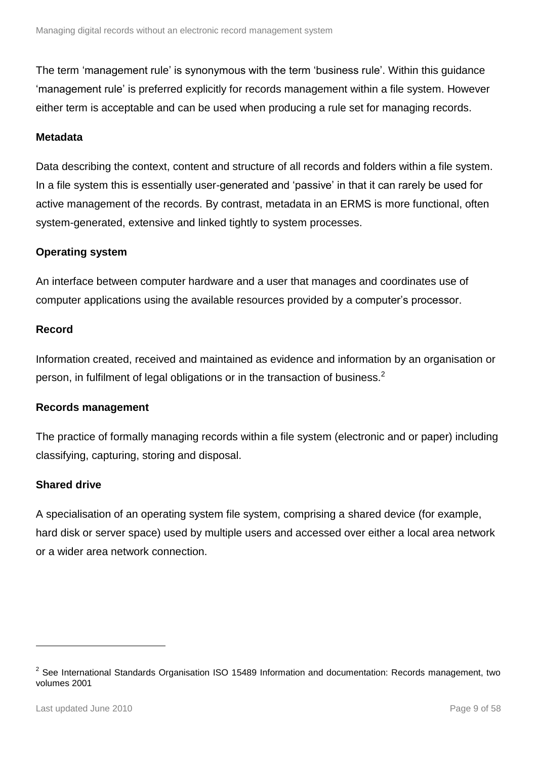The term 'management rule' is synonymous with the term 'business rule'. Within this guidance 'management rule' is preferred explicitly for records management within a file system. However either term is acceptable and can be used when producing a rule set for managing records.

#### **Metadata**

Data describing the context, content and structure of all records and folders within a file system. In a file system this is essentially user-generated and 'passive' in that it can rarely be used for active management of the records. By contrast, metadata in an ERMS is more functional, often system-generated, extensive and linked tightly to system processes.

#### **Operating system**

An interface between computer hardware and a user that manages and coordinates use of computer applications using the available resources provided by a computer's processor.

#### **Record**

Information created, received and maintained as evidence and information by an organisation or person, in fulfilment of legal obligations or in the transaction of business. $2$ 

#### **Records management**

The practice of formally managing records within a file system (electronic and or paper) including classifying, capturing, storing and disposal.

#### **Shared drive**

A specialisation of an operating system file system, comprising a shared device (for example, hard disk or server space) used by multiple users and accessed over either a local area network or a wider area network connection.

1

 $2$  See International Standards Organisation ISO 15489 Information and documentation: Records management, two volumes 2001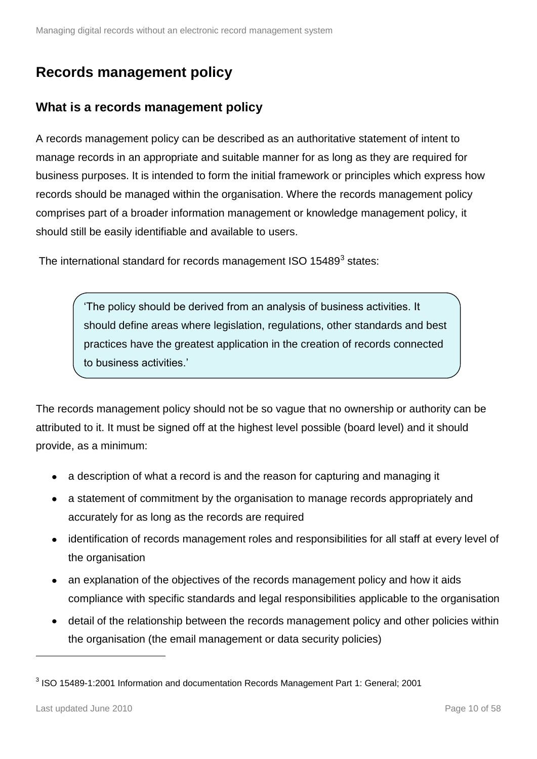### <span id="page-9-0"></span>**Records management policy**

### <span id="page-9-1"></span>**What is a records management policy**

A records management policy can be described as an authoritative statement of intent to manage records in an appropriate and suitable manner for as long as they are required for business purposes. It is intended to form the initial framework or principles which express how records should be managed within the organisation. Where the records management policy comprises part of a broader information management or knowledge management policy, it should still be easily identifiable and available to users.

The international standard for records management ISO 15489 $3$  states:

'The policy should be derived from an analysis of business activities. It should define areas where legislation, regulations, other standards and best practices have the greatest application in the creation of records connected to business activities.'

The records management policy should not be so vague that no ownership or authority can be attributed to it. It must be signed off at the highest level possible (board level) and it should provide, as a minimum:

- a description of what a record is and the reason for capturing and managing it
- a statement of commitment by the organisation to manage records appropriately and accurately for as long as the records are required
- identification of records management roles and responsibilities for all staff at every level of the organisation
- an explanation of the objectives of the records management policy and how it aids compliance with specific standards and legal responsibilities applicable to the organisation
- detail of the relationship between the records management policy and other policies within the organisation (the email management or data security policies)

1

 $3$  ISO 15489-1:2001 Information and documentation Records Management Part 1: General; 2001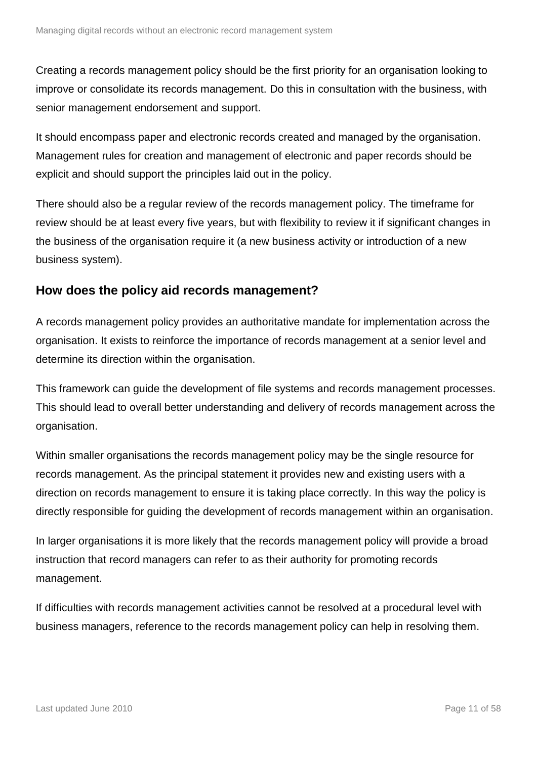Creating a records management policy should be the first priority for an organisation looking to improve or consolidate its records management. Do this in consultation with the business, with senior management endorsement and support.

It should encompass paper and electronic records created and managed by the organisation. Management rules for creation and management of electronic and paper records should be explicit and should support the principles laid out in the policy.

There should also be a regular review of the records management policy. The timeframe for review should be at least every five years, but with flexibility to review it if significant changes in the business of the organisation require it (a new business activity or introduction of a new business system).

#### <span id="page-10-0"></span>**How does the policy aid records management?**

A records management policy provides an authoritative mandate for implementation across the organisation. It exists to reinforce the importance of records management at a senior level and determine its direction within the organisation.

This framework can guide the development of file systems and records management processes. This should lead to overall better understanding and delivery of records management across the organisation.

Within smaller organisations the records management policy may be the single resource for records management. As the principal statement it provides new and existing users with a direction on records management to ensure it is taking place correctly. In this way the policy is directly responsible for guiding the development of records management within an organisation.

In larger organisations it is more likely that the records management policy will provide a broad instruction that record managers can refer to as their authority for promoting records management.

If difficulties with records management activities cannot be resolved at a procedural level with business managers, reference to the records management policy can help in resolving them.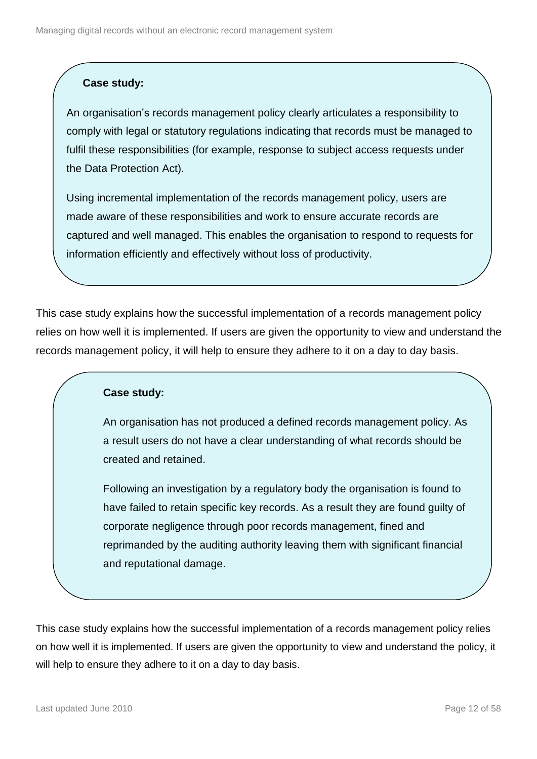#### **Case study:**

An organisation's records management policy clearly articulates a responsibility to comply with legal or statutory regulations indicating that records must be managed to fulfil these responsibilities (for example, response to subject access requests under the Data Protection Act).

Using incremental implementation of the records management policy, users are made aware of these responsibilities and work to ensure accurate records are captured and well managed. This enables the organisation to respond to requests for information efficiently and effectively without loss of productivity.

This case study explains how the successful implementation of a records management policy relies on how well it is implemented. If users are given the opportunity to view and understand the records management policy, it will help to ensure they adhere to it on a day to day basis.

#### **Case study:**

An organisation has not produced a defined records management policy. As a result users do not have a clear understanding of what records should be created and retained.

Following an investigation by a regulatory body the organisation is found to have failed to retain specific key records. As a result they are found guilty of corporate negligence through poor records management, fined and reprimanded by the auditing authority leaving them with significant financial and reputational damage.

This case study explains how the successful implementation of a records management policy relies on how well it is implemented. If users are given the opportunity to view and understand the policy, it will help to ensure they adhere to it on a day to day basis.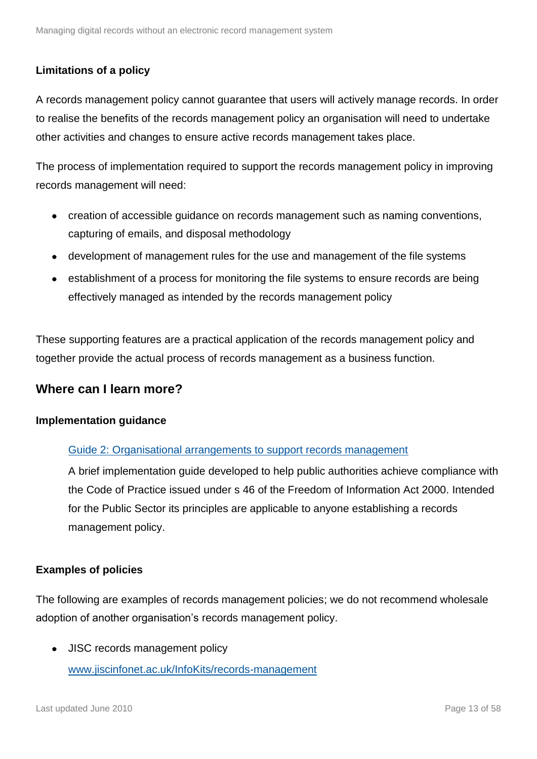#### **Limitations of a policy**

A records management policy cannot guarantee that users will actively manage records. In order to realise the benefits of the records management policy an organisation will need to undertake other activities and changes to ensure active records management takes place.

The process of implementation required to support the records management policy in improving records management will need:

- creation of accessible guidance on records management such as naming conventions, capturing of emails, and disposal methodology
- development of management rules for the use and management of the file systems
- establishment of a process for monitoring the file systems to ensure records are being effectively managed as intended by the records management policy

These supporting features are a practical application of the records management policy and together provide the actual process of records management as a business function.

#### <span id="page-12-0"></span>**Where can I learn more?**

#### **Implementation guidance**

#### [Guide 2: Organisational arrangements to support records management](http://www.nationalarchives.gov.uk/documents/information-management/rm-code-guide2.pdf)

A brief implementation guide developed to help public authorities achieve compliance with the Code of Practice issued under s 46 of the Freedom of Information Act 2000. Intended for the Public Sector its principles are applicable to anyone establishing a records management policy.

#### **Examples of policies**

The following are examples of records management policies; we do not recommend wholesale adoption of another organisation's records management policy.

• JISC records management policy [www.jiscinfonet.ac.uk/InfoKits/records-management](http://www.jiscinfonet.ac.uk/InfoKits/records-management)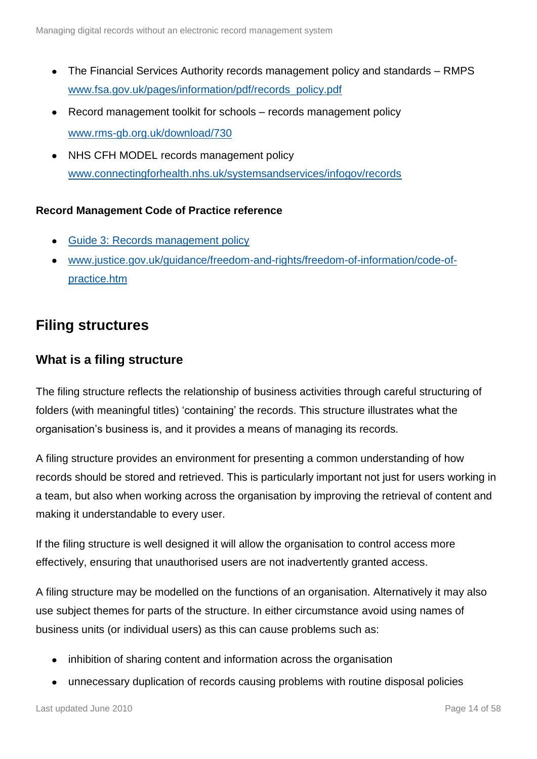- The Financial Services Authority records management policy and standards RMPS [www.fsa.gov.uk/pages/information/pdf/records\\_policy.pdf](http://www.fsa.gov.uk/pages/information/pdf/records_policy.pdf)
- Record management toolkit for schools records management policy [www.rms-gb.org.uk/download/730](http://www.rms-gb.org.uk/download/730)
- NHS CFH MODEL records management policy  $\bullet$ [www.connectingforhealth.nhs.uk/systemsandservices/infogov/records](http://www.connectingforhealth.nhs.uk/systemsandservices/infogov/records)

#### **Record Management Code of Practice reference**

- [Guide 3: Records management policy](http://www.nationalarchives.gov.uk/documents/information-management/rm-code-guide3.pdf)
- [www.justice.gov.uk/guidance/freedom-and-rights/freedom-of-information/code-of](http://www.justice.gov.uk/guidance/freedom-and-rights/freedom-of-information/code-of-practice.htm)[practice.htm](http://www.justice.gov.uk/guidance/freedom-and-rights/freedom-of-information/code-of-practice.htm)

### <span id="page-13-0"></span>**Filing structures**

#### <span id="page-13-1"></span>**What is a filing structure**

The filing structure reflects the relationship of business activities through careful structuring of folders (with meaningful titles) 'containing' the records. This structure illustrates what the organisation's business is, and it provides a means of managing its records.

A filing structure provides an environment for presenting a common understanding of how records should be stored and retrieved. This is particularly important not just for users working in a team, but also when working across the organisation by improving the retrieval of content and making it understandable to every user.

If the filing structure is well designed it will allow the organisation to control access more effectively, ensuring that unauthorised users are not inadvertently granted access.

A filing structure may be modelled on the functions of an organisation. Alternatively it may also use subject themes for parts of the structure. In either circumstance avoid using names of business units (or individual users) as this can cause problems such as:

- inhibition of sharing content and information across the organisation
- unnecessary duplication of records causing problems with routine disposal policies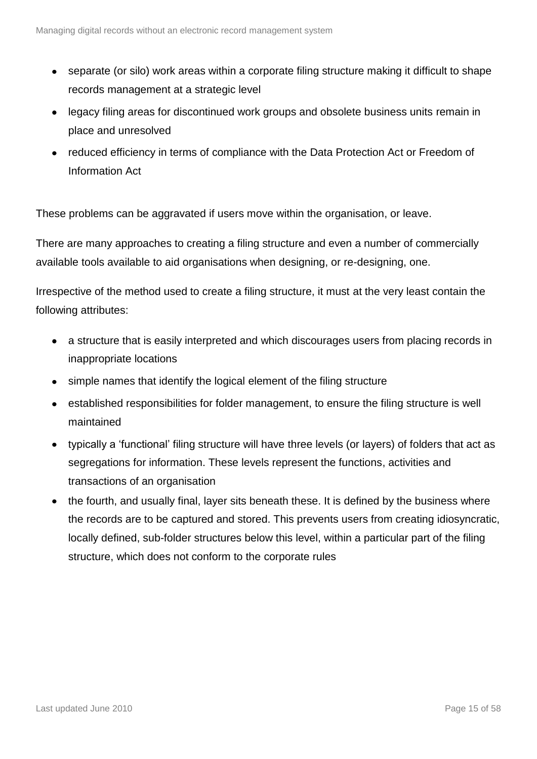- separate (or silo) work areas within a corporate filing structure making it difficult to shape records management at a strategic level
- legacy filing areas for discontinued work groups and obsolete business units remain in place and unresolved
- reduced efficiency in terms of compliance with the Data Protection Act or Freedom of Information Act

These problems can be aggravated if users move within the organisation, or leave.

There are many approaches to creating a filing structure and even a number of commercially available tools available to aid organisations when designing, or re-designing, one.

Irrespective of the method used to create a filing structure, it must at the very least contain the following attributes:

- a structure that is easily interpreted and which discourages users from placing records in inappropriate locations
- simple names that identify the logical element of the filing structure
- established responsibilities for folder management, to ensure the filing structure is well maintained
- typically a 'functional' filing structure will have three levels (or layers) of folders that act as segregations for information. These levels represent the functions, activities and transactions of an organisation
- the fourth, and usually final, layer sits beneath these. It is defined by the business where the records are to be captured and stored. This prevents users from creating idiosyncratic, locally defined, sub-folder structures below this level, within a particular part of the filing structure, which does not conform to the corporate rules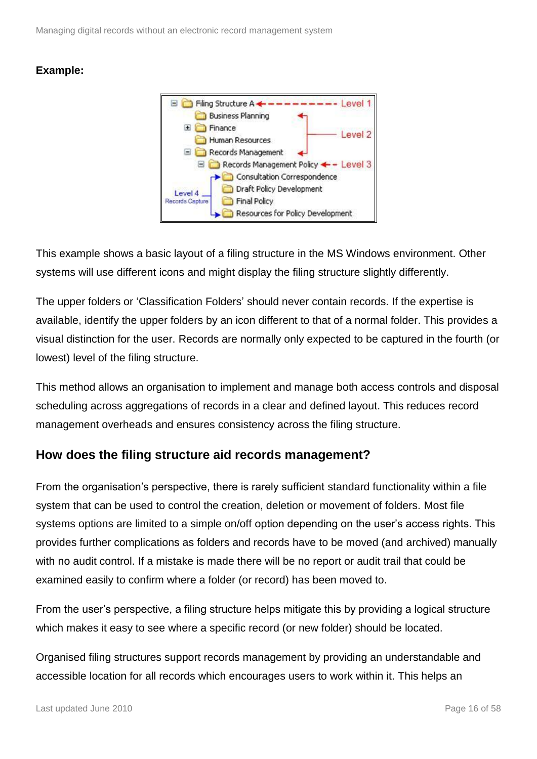

This example shows a basic layout of a filing structure in the MS Windows environment. Other systems will use different icons and might display the filing structure slightly differently.

The upper folders or 'Classification Folders' should never contain records. If the expertise is available, identify the upper folders by an icon different to that of a normal folder. This provides a visual distinction for the user. Records are normally only expected to be captured in the fourth (or lowest) level of the filing structure.

This method allows an organisation to implement and manage both access controls and disposal scheduling across aggregations of records in a clear and defined layout. This reduces record management overheads and ensures consistency across the filing structure.

#### <span id="page-15-0"></span>**How does the filing structure aid records management?**

From the organisation's perspective, there is rarely sufficient standard functionality within a file system that can be used to control the creation, deletion or movement of folders. Most file systems options are limited to a simple on/off option depending on the user's access rights. This provides further complications as folders and records have to be moved (and archived) manually with no audit control. If a mistake is made there will be no report or audit trail that could be examined easily to confirm where a folder (or record) has been moved to.

From the user's perspective, a filing structure helps mitigate this by providing a logical structure which makes it easy to see where a specific record (or new folder) should be located.

Organised filing structures support records management by providing an understandable and accessible location for all records which encourages users to work within it. This helps an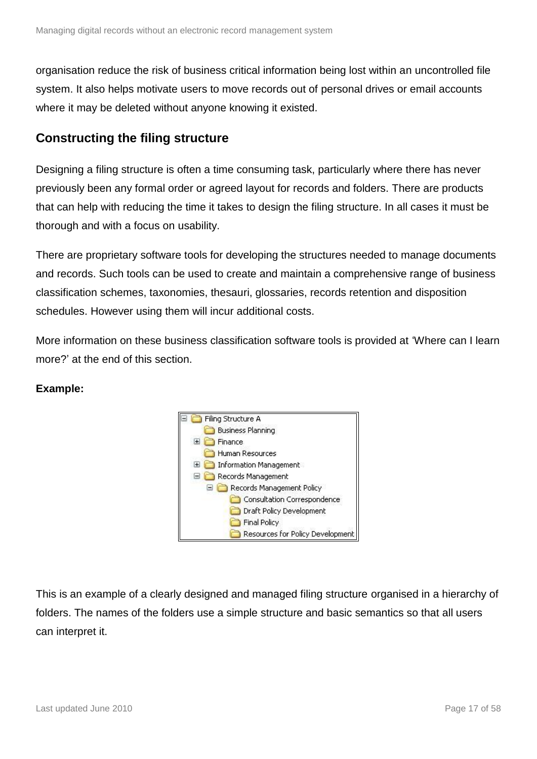organisation reduce the risk of business critical information being lost within an uncontrolled file system. It also helps motivate users to move records out of personal drives or email accounts where it may be deleted without anyone knowing it existed.

#### <span id="page-16-0"></span>**Constructing the filing structure**

Designing a filing structure is often a time consuming task, particularly where there has never previously been any formal order or agreed layout for records and folders. There are products that can help with reducing the time it takes to design the filing structure. In all cases it must be thorough and with a focus on usability.

There are proprietary software tools for developing the structures needed to manage documents and records. Such tools can be used to create and maintain a comprehensive range of business classification schemes, taxonomies, thesauri, glossaries, records retention and disposition schedules. However using them will incur additional costs.

More information on these business classification software tools is provided at 'Where can I learn more?' at the end of this section.

#### **Example:**



This is an example of a clearly designed and managed filing structure organised in a hierarchy of folders. The names of the folders use a simple structure and basic semantics so that all users can interpret it.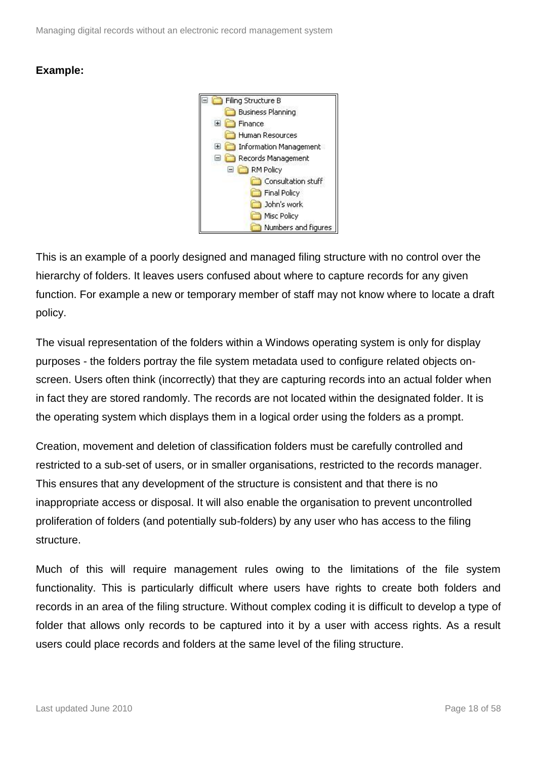

This is an example of a poorly designed and managed filing structure with no control over the hierarchy of folders. It leaves users confused about where to capture records for any given function. For example a new or temporary member of staff may not know where to locate a draft policy.

The visual representation of the folders within a Windows operating system is only for display purposes - the folders portray the file system metadata used to configure related objects onscreen. Users often think (incorrectly) that they are capturing records into an actual folder when in fact they are stored randomly. The records are not located within the designated folder. It is the operating system which displays them in a logical order using the folders as a prompt.

Creation, movement and deletion of classification folders must be carefully controlled and restricted to a sub-set of users, or in smaller organisations, restricted to the records manager. This ensures that any development of the structure is consistent and that there is no inappropriate access or disposal. It will also enable the organisation to prevent uncontrolled proliferation of folders (and potentially sub-folders) by any user who has access to the filing structure.

Much of this will require management rules owing to the limitations of the file system functionality. This is particularly difficult where users have rights to create both folders and records in an area of the filing structure. Without complex coding it is difficult to develop a type of folder that allows only records to be captured into it by a user with access rights. As a result users could place records and folders at the same level of the filing structure.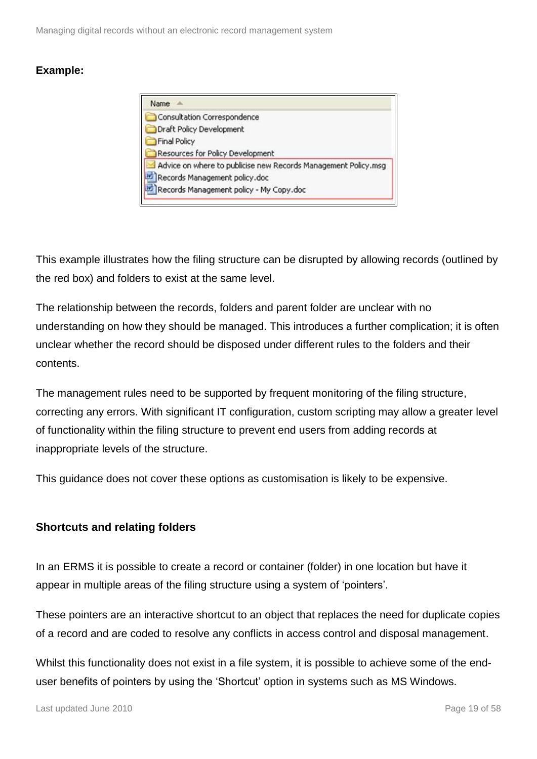| Name |                                                                |
|------|----------------------------------------------------------------|
|      | Consultation Correspondence                                    |
|      | Draft Policy Development                                       |
|      | <b>Final Policy</b>                                            |
|      | Resources for Policy Development                               |
|      | Advice on where to publicise new Records Management Policy.msg |
|      | Records Management policy.doc                                  |
|      | Records Management policy - My Copy.doc                        |

This example illustrates how the filing structure can be disrupted by allowing records (outlined by the red box) and folders to exist at the same level.

The relationship between the records, folders and parent folder are unclear with no understanding on how they should be managed. This introduces a further complication; it is often unclear whether the record should be disposed under different rules to the folders and their contents.

The management rules need to be supported by frequent monitoring of the filing structure, correcting any errors. With significant IT configuration, custom scripting may allow a greater level of functionality within the filing structure to prevent end users from adding records at inappropriate levels of the structure.

This guidance does not cover these options as customisation is likely to be expensive.

#### **Shortcuts and relating folders**

In an ERMS it is possible to create a record or container (folder) in one location but have it appear in multiple areas of the filing structure using a system of 'pointers'.

These pointers are an interactive shortcut to an object that replaces the need for duplicate copies of a record and are coded to resolve any conflicts in access control and disposal management.

Whilst this functionality does not exist in a file system, it is possible to achieve some of the enduser benefits of pointers by using the 'Shortcut' option in systems such as MS Windows.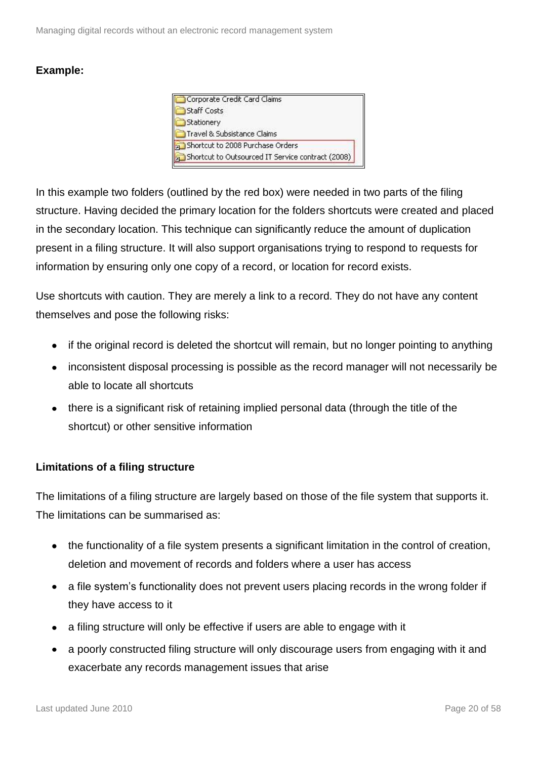| Corporate Credit Card Claims                      |  |
|---------------------------------------------------|--|
| <b>Staff Costs</b>                                |  |
| Stationery                                        |  |
| Travel & Subsistance Claims                       |  |
| Shortcut to 2008 Purchase Orders                  |  |
| Shortcut to Outsourced IT Service contract (2008) |  |

In this example two folders (outlined by the red box) were needed in two parts of the filing structure. Having decided the primary location for the folders shortcuts were created and placed in the secondary location. This technique can significantly reduce the amount of duplication present in a filing structure. It will also support organisations trying to respond to requests for information by ensuring only one copy of a record, or location for record exists.

Use shortcuts with caution. They are merely a link to a record. They do not have any content themselves and pose the following risks:

- if the original record is deleted the shortcut will remain, but no longer pointing to anything
- inconsistent disposal processing is possible as the record manager will not necessarily be able to locate all shortcuts
- there is a significant risk of retaining implied personal data (through the title of the shortcut) or other sensitive information

#### **Limitations of a filing structure**

The limitations of a filing structure are largely based on those of the file system that supports it. The limitations can be summarised as:

- the functionality of a file system presents a significant limitation in the control of creation, deletion and movement of records and folders where a user has access
- a file system's functionality does not prevent users placing records in the wrong folder if they have access to it
- a filing structure will only be effective if users are able to engage with it
- a poorly constructed filing structure will only discourage users from engaging with it and exacerbate any records management issues that arise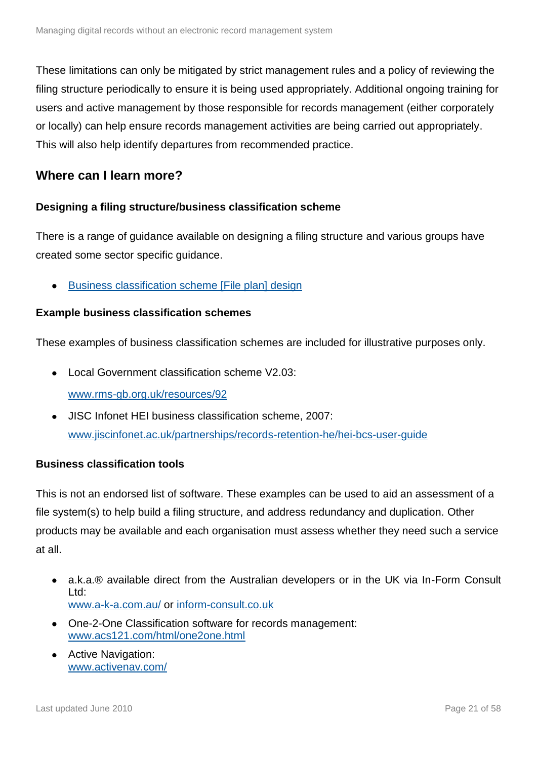These limitations can only be mitigated by strict management rules and a policy of reviewing the filing structure periodically to ensure it is being used appropriately. Additional ongoing training for users and active management by those responsible for records management (either corporately or locally) can help ensure records management activities are being carried out appropriately. This will also help identify departures from recommended practice.

#### <span id="page-20-0"></span>**Where can I learn more?**

#### **Designing a filing structure/business classification scheme**

There is a range of guidance available on designing a filing structure and various groups have created some sector specific guidance.

[Business classification scheme \[File plan\] design](http://www.nationalarchives.gov.uk/documents/information-management/bcs_toolkit.pdf)

#### **Example business classification schemes**

These examples of business classification schemes are included for illustrative purposes only.

- Local Government classification scheme V2.03: [www.rms-gb.org.uk/resources/92](http://www.rms-gb.org.uk/resources/92)
- JISC Infonet HEI business classification scheme, 2007: [www.jiscinfonet.ac.uk/partnerships/records-retention-he/hei-bcs-user-guide](http://www.jiscinfonet.ac.uk/partnerships/records-retention-he/hei-bcs-user-guide)

#### **Business classification tools**

This is not an endorsed list of software. These examples can be used to aid an assessment of a file system(s) to help build a filing structure, and address redundancy and duplication. Other products may be available and each organisation must assess whether they need such a service at all.

- a.k.a.® available direct from the Australian developers or in the UK via In-Form Consult Ltd: [www.a-k-a.com.au/](http://www.a-k-a.com.au/) or [inform-consult.co.uk](http://inform-consult.co.uk/)
- One-2-One Classification software for records management: [www.acs121.com/html/one2one.html](http://www.acs121.com/html/one2one.html)
- Active Navigation: [www.activenav.com/](http://www.activenav.com/)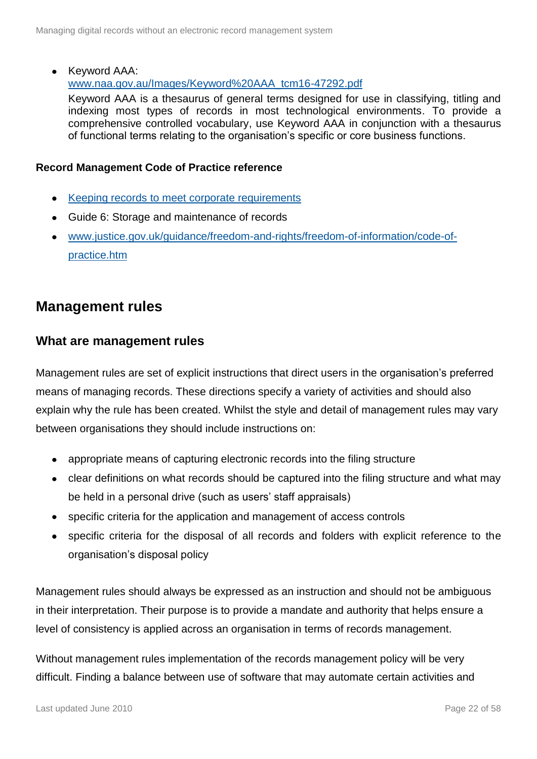• Keyword AAA:

[www.naa.gov.au/Images/Keyword%20AAA\\_tcm16-47292.pdf](http://www.naa.gov.au/Images/Keyword%20AAA_tcm16-47292.pdf)

Keyword AAA is a thesaurus of general terms designed for use in classifying, titling and indexing most types of records in most technological environments. To provide a comprehensive controlled vocabulary, use Keyword AAA in conjunction with a thesaurus of functional terms relating to the organisation's specific or core business functions.

#### **Record Management Code of Practice reference**

- Keeping records [to meet corporate requirements](http://www.nationalarchives.gov.uk/documents/information-management/rm-code-guide4.pdf)
- Guide 6: Storage and maintenance of records
- [www.justice.gov.uk/guidance/freedom-and-rights/freedom-of-information/code-of](http://www.justice.gov.uk/guidance/freedom-and-rights/freedom-of-information/code-of-practice.htm)[practice.htm](http://www.justice.gov.uk/guidance/freedom-and-rights/freedom-of-information/code-of-practice.htm)

### <span id="page-21-0"></span>**Management rules**

#### <span id="page-21-1"></span>**What are management rules**

Management rules are set of explicit instructions that direct users in the organisation's preferred means of managing records. These directions specify a variety of activities and should also explain why the rule has been created. Whilst the style and detail of management rules may vary between organisations they should include instructions on:

- appropriate means of capturing electronic records into the filing structure
- clear definitions on what records should be captured into the filing structure and what may be held in a personal drive (such as users' staff appraisals)
- specific criteria for the application and management of access controls
- specific criteria for the disposal of all records and folders with explicit reference to the organisation's disposal policy

Management rules should always be expressed as an instruction and should not be ambiguous in their interpretation. Their purpose is to provide a mandate and authority that helps ensure a level of consistency is applied across an organisation in terms of records management.

Without management rules implementation of the records management policy will be very difficult. Finding a balance between use of software that may automate certain activities and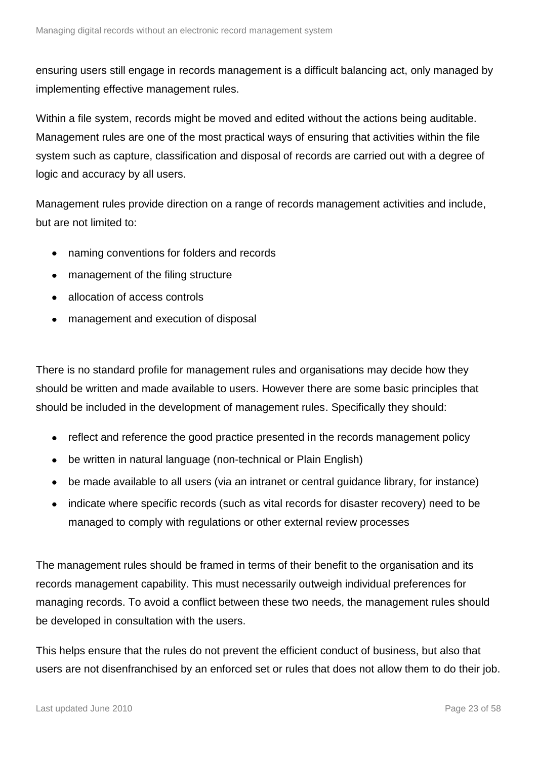ensuring users still engage in records management is a difficult balancing act, only managed by implementing effective management rules.

Within a file system, records might be moved and edited without the actions being auditable. Management rules are one of the most practical ways of ensuring that activities within the file system such as capture, classification and disposal of records are carried out with a degree of logic and accuracy by all users.

Management rules provide direction on a range of records management activities and include, but are not limited to:

- naming conventions for folders and records  $\bullet$
- management of the filing structure
- allocation of access controls
- management and execution of disposal

There is no standard profile for management rules and organisations may decide how they should be written and made available to users. However there are some basic principles that should be included in the development of management rules. Specifically they should:

- reflect and reference the good practice presented in the records management policy
- be written in natural language (non-technical or Plain English)
- be made available to all users (via an intranet or central guidance library, for instance)
- indicate where specific records (such as vital records for disaster recovery) need to be  $\bullet$ managed to comply with regulations or other external review processes

The management rules should be framed in terms of their benefit to the organisation and its records management capability. This must necessarily outweigh individual preferences for managing records. To avoid a conflict between these two needs, the management rules should be developed in consultation with the users.

This helps ensure that the rules do not prevent the efficient conduct of business, but also that users are not disenfranchised by an enforced set or rules that does not allow them to do their job.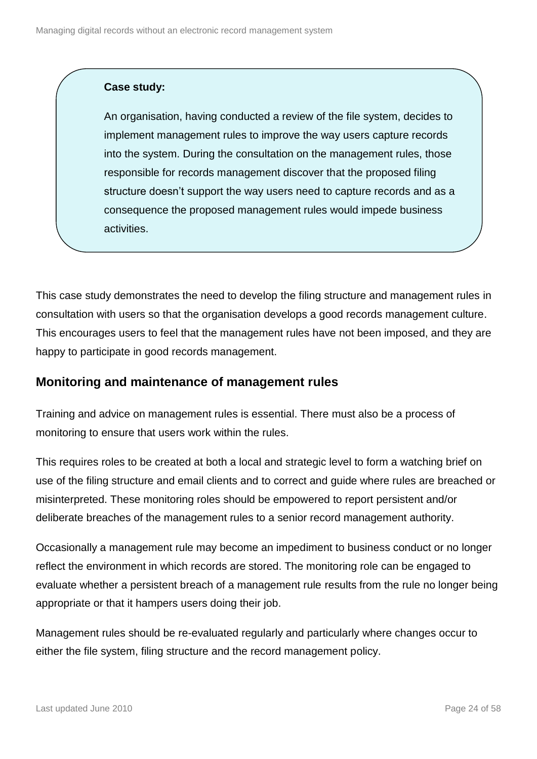#### **Case study:**

An organisation, having conducted a review of the file system, decides to implement management rules to improve the way users capture records into the system. During the consultation on the management rules, those responsible for records management discover that the proposed filing structure doesn't support the way users need to capture records and as a consequence the proposed management rules would impede business activities.

This case study demonstrates the need to develop the filing structure and management rules in consultation with users so that the organisation develops a good records management culture. This encourages users to feel that the management rules have not been imposed, and they are happy to participate in good records management.

#### <span id="page-23-0"></span>**Monitoring and maintenance of management rules**

Training and advice on management rules is essential. There must also be a process of monitoring to ensure that users work within the rules.

This requires roles to be created at both a local and strategic level to form a watching brief on use of the filing structure and email clients and to correct and guide where rules are breached or misinterpreted. These monitoring roles should be empowered to report persistent and/or deliberate breaches of the management rules to a senior record management authority.

Occasionally a management rule may become an impediment to business conduct or no longer reflect the environment in which records are stored. The monitoring role can be engaged to evaluate whether a persistent breach of a management rule results from the rule no longer being appropriate or that it hampers users doing their job.

Management rules should be re-evaluated regularly and particularly where changes occur to either the file system, filing structure and the record management policy.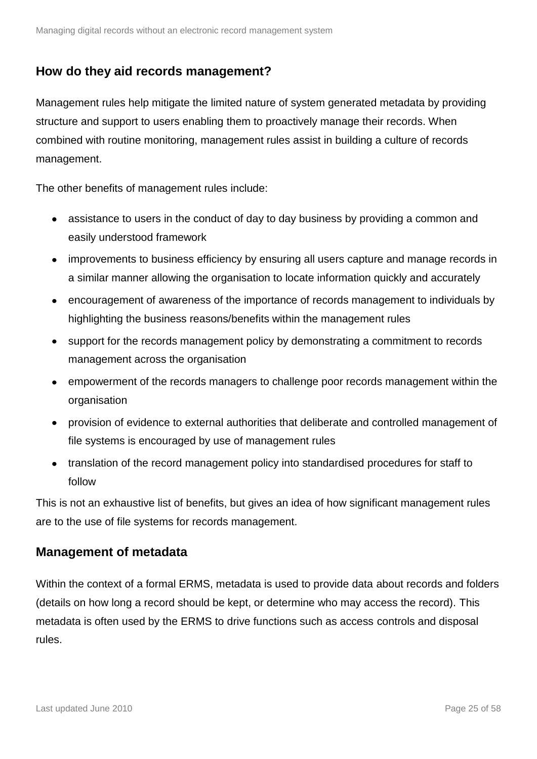### <span id="page-24-0"></span>**How do they aid records management?**

Management rules help mitigate the limited nature of system generated metadata by providing structure and support to users enabling them to proactively manage their records. When combined with routine monitoring, management rules assist in building a culture of records management.

The other benefits of management rules include:

- assistance to users in the conduct of day to day business by providing a common and easily understood framework
- improvements to business efficiency by ensuring all users capture and manage records in a similar manner allowing the organisation to locate information quickly and accurately
- encouragement of awareness of the importance of records management to individuals by highlighting the business reasons/benefits within the management rules
- support for the records management policy by demonstrating a commitment to records management across the organisation
- empowerment of the records managers to challenge poor records management within the organisation
- provision of evidence to external authorities that deliberate and controlled management of file systems is encouraged by use of management rules
- translation of the record management policy into standardised procedures for staff to follow

This is not an exhaustive list of benefits, but gives an idea of how significant management rules are to the use of file systems for records management.

#### <span id="page-24-1"></span>**Management of metadata**

Within the context of a formal ERMS, metadata is used to provide data about records and folders (details on how long a record should be kept, or determine who may access the record). This metadata is often used by the ERMS to drive functions such as access controls and disposal rules.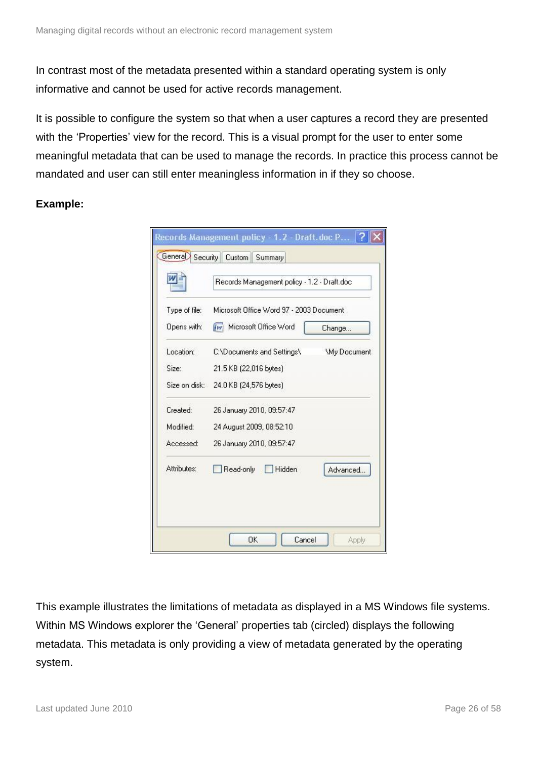In contrast most of the metadata presented within a standard operating system is only informative and cannot be used for active records management.

It is possible to configure the system so that when a user captures a record they are presented with the 'Properties' view for the record. This is a visual prompt for the user to enter some meaningful metadata that can be used to manage the records. In practice this process cannot be mandated and user can still enter meaningless information in if they so choose.

**Example:**

|               | Records Management policy - 1.2 - Draft.doc |                    |
|---------------|---------------------------------------------|--------------------|
| Type of file: | Microsoft Office Word 97 - 2003 Document    |                    |
| Opens with:   | <b>Fivil Microsoft Office Word</b>          | Change             |
| Location:     | C:\Documents and Settings\                  | <b>Wy Document</b> |
| Size:         | 21.5 KB (22,016 bytes)                      |                    |
| Size on disk: | 24.0 KB (24,576 bytes)                      |                    |
| Created:      | 26 January 2010, 09:57:47                   |                    |
| Modified:     | 24 August 2009, 08:52:10                    |                    |
| Accessed:     | 26 January 2010, 09:57:47                   |                    |
| Attributes:   | Read-only<br><b>Hidden</b>                  | Advanced           |

This example illustrates the limitations of metadata as displayed in a MS Windows file systems. Within MS Windows explorer the 'General' properties tab (circled) displays the following metadata. This metadata is only providing a view of metadata generated by the operating system.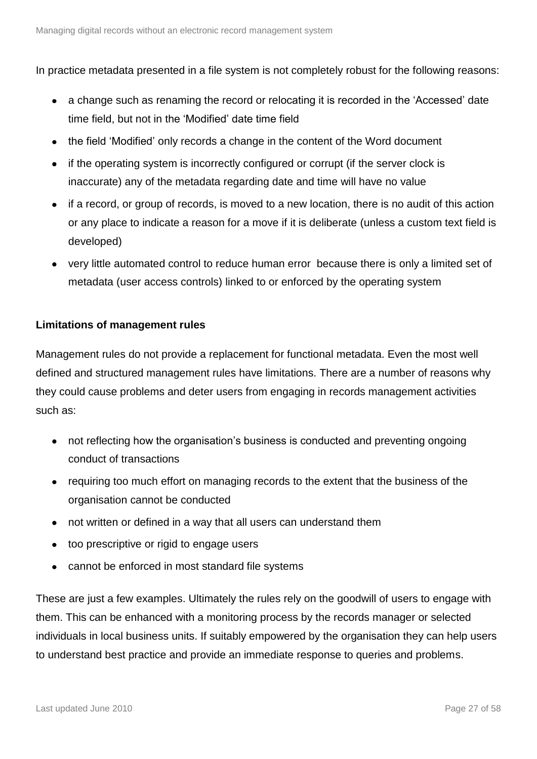In practice metadata presented in a file system is not completely robust for the following reasons:

- a change such as renaming the record or relocating it is recorded in the 'Accessed' date time field, but not in the 'Modified' date time field
- the field 'Modified' only records a change in the content of the Word document
- if the operating system is incorrectly configured or corrupt (if the server clock is inaccurate) any of the metadata regarding date and time will have no value
- if a record, or group of records, is moved to a new location, there is no audit of this action or any place to indicate a reason for a move if it is deliberate (unless a custom text field is developed)
- very little automated control to reduce human error because there is only a limited set of metadata (user access controls) linked to or enforced by the operating system

#### **Limitations of management rules**

Management rules do not provide a replacement for functional metadata. Even the most well defined and structured management rules have limitations. There are a number of reasons why they could cause problems and deter users from engaging in records management activities such as:

- not reflecting how the organisation's business is conducted and preventing ongoing conduct of transactions
- requiring too much effort on managing records to the extent that the business of the organisation cannot be conducted
- not written or defined in a way that all users can understand them
- too prescriptive or rigid to engage users
- cannot be enforced in most standard file systems

These are just a few examples. Ultimately the rules rely on the goodwill of users to engage with them. This can be enhanced with a monitoring process by the records manager or selected individuals in local business units. If suitably empowered by the organisation they can help users to understand best practice and provide an immediate response to queries and problems.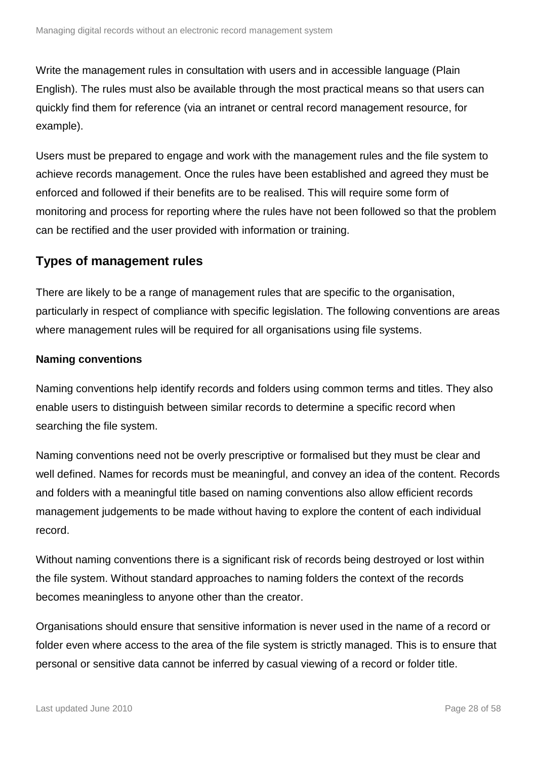Write the management rules in consultation with users and in accessible language (Plain English). The rules must also be available through the most practical means so that users can quickly find them for reference (via an intranet or central record management resource, for example).

Users must be prepared to engage and work with the management rules and the file system to achieve records management. Once the rules have been established and agreed they must be enforced and followed if their benefits are to be realised. This will require some form of monitoring and process for reporting where the rules have not been followed so that the problem can be rectified and the user provided with information or training.

#### <span id="page-27-0"></span>**Types of management rules**

There are likely to be a range of management rules that are specific to the organisation, particularly in respect of compliance with specific legislation. The following conventions are areas where management rules will be required for all organisations using file systems.

#### <span id="page-27-1"></span>**Naming conventions**

Naming conventions help identify records and folders using common terms and titles. They also enable users to distinguish between similar records to determine a specific record when searching the file system.

Naming conventions need not be overly prescriptive or formalised but they must be clear and well defined. Names for records must be meaningful, and convey an idea of the content. Records and folders with a meaningful title based on naming conventions also allow efficient records management judgements to be made without having to explore the content of each individual record.

Without naming conventions there is a significant risk of records being destroyed or lost within the file system. Without standard approaches to naming folders the context of the records becomes meaningless to anyone other than the creator.

Organisations should ensure that sensitive information is never used in the name of a record or folder even where access to the area of the file system is strictly managed. This is to ensure that personal or sensitive data cannot be inferred by casual viewing of a record or folder title.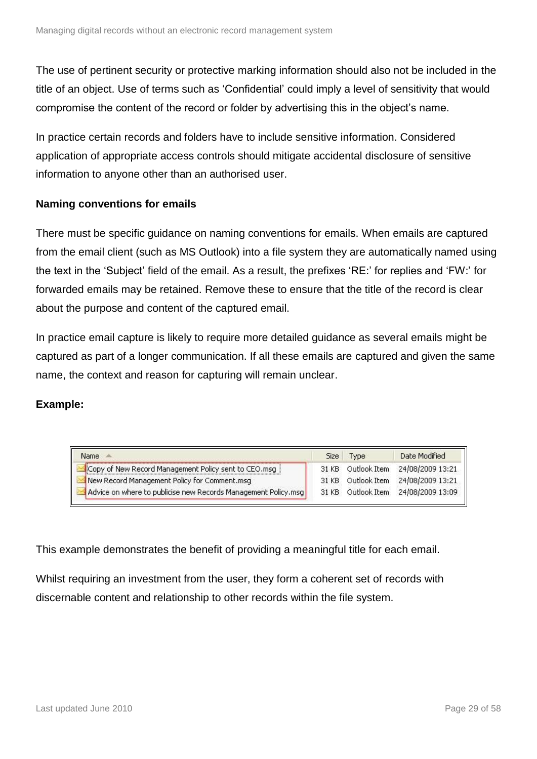The use of pertinent security or protective marking information should also not be included in the title of an object. Use of terms such as 'Confidential' could imply a level of sensitivity that would compromise the content of the record or folder by advertising this in the object's name.

In practice certain records and folders have to include sensitive information. Considered application of appropriate access controls should mitigate accidental disclosure of sensitive information to anyone other than an authorised user.

#### **Naming conventions for emails**

There must be specific guidance on naming conventions for emails. When emails are captured from the email client (such as MS Outlook) into a file system they are automatically named using the text in the 'Subject' field of the email. As a result, the prefixes 'RE:' for replies and 'FW:' for forwarded emails may be retained. Remove these to ensure that the title of the record is clear about the purpose and content of the captured email.

In practice email capture is likely to require more detailed guidance as several emails might be captured as part of a longer communication. If all these emails are captured and given the same name, the context and reason for capturing will remain unclear.

#### **Example:**

| Name                                                           | Size  | <b>Type</b>  | Date Modified                 |
|----------------------------------------------------------------|-------|--------------|-------------------------------|
| Copy of New Record Management Policy sent to CEO.msg           | 31 KB | Outlook Item | 24/08/2009 13:21              |
| New Record Management Policy for Comment.msg                   | 31 KB |              | Outlook Item 24/08/2009 13:21 |
| Advice on where to publicise new Records Management Policy.msg | 31 KB | Outlook Item | 24/08/2009 13:09              |

This example demonstrates the benefit of providing a meaningful title for each email.

Whilst requiring an investment from the user, they form a coherent set of records with discernable content and relationship to other records within the file system.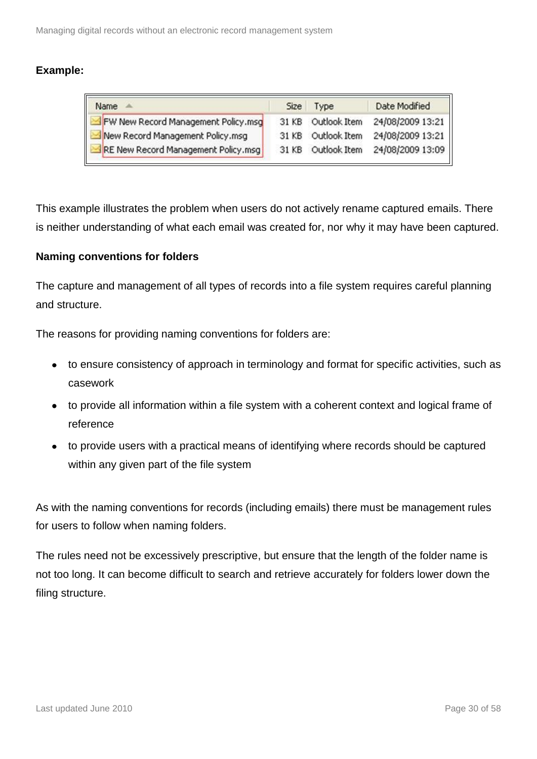| Name                                | <b>Size</b> | <b>Type</b>  | Date Modified    |
|-------------------------------------|-------------|--------------|------------------|
| FW New Record Management Policy.msg | 31 KB       | Outlook Item | 24/08/2009 13:21 |
| New Record Management Policy.msg    | 31 KB       | Outlook Item | 24/08/2009 13:21 |
| RE New Record Management Policy.msg | 31 KB       | Outlook Item | 24/08/2009 13:09 |

This example illustrates the problem when users do not actively rename captured emails. There is neither understanding of what each email was created for, nor why it may have been captured.

#### **Naming conventions for folders**

The capture and management of all types of records into a file system requires careful planning and structure.

The reasons for providing naming conventions for folders are:

- to ensure consistency of approach in terminology and format for specific activities, such as casework
- to provide all information within a file system with a coherent context and logical frame of reference
- to provide users with a practical means of identifying where records should be captured within any given part of the file system

As with the naming conventions for records (including emails) there must be management rules for users to follow when naming folders.

The rules need not be excessively prescriptive, but ensure that the length of the folder name is not too long. It can become difficult to search and retrieve accurately for folders lower down the filing structure.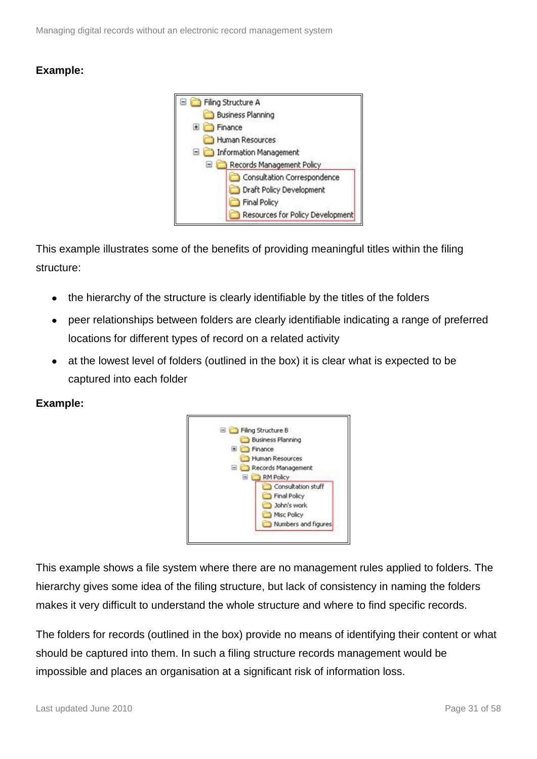

This example illustrates some of the benefits of providing meaningful titles within the filing structure:

- the hierarchy of the structure is clearly identifiable by the titles of the folders  $\bullet$
- peer relationships between folders are clearly identifiable indicating a range of preferred locations for different types of record on a related activity
- at the lowest level of folders (outlined in the box) it is clear what is expected to be captured into each folder

#### **Example:**



This example shows a file system where there are no management rules applied to folders. The hierarchy gives some idea of the filing structure, but lack of consistency in naming the folders makes it very difficult to understand the whole structure and where to find specific records.

The folders for records (outlined in the box) provide no means of identifying their content or what should be captured into them. In such a filing structure records management would be impossible and places an organisation at a significant risk of information loss.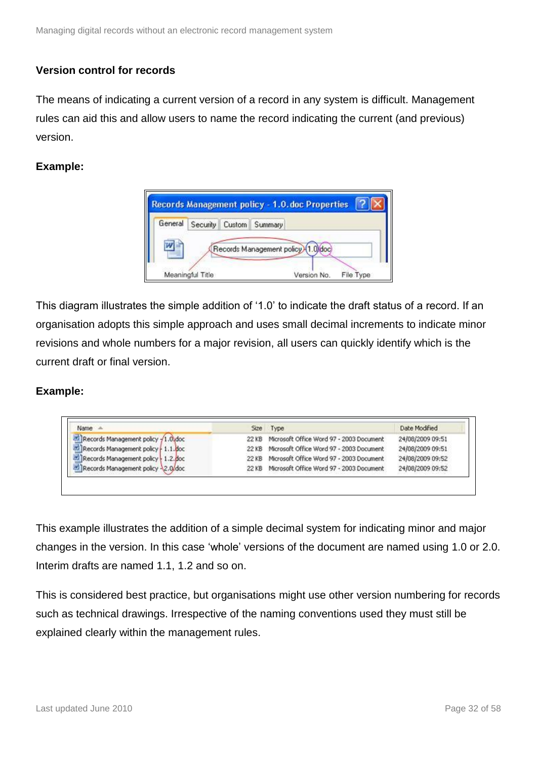#### <span id="page-31-0"></span>**Version control for records**

The means of indicating a current version of a record in any system is difficult. Management rules can aid this and allow users to name the record indicating the current (and previous) version.

#### **Example:**



This diagram illustrates the simple addition of '1.0' to indicate the draft status of a record. If an organisation adopts this simple approach and uses small decimal increments to indicate minor revisions and whole numbers for a major revision, all users can quickly identify which is the current draft or final version.

#### **Example:**

| Name A                               | Size Type                                      | Date Modified    |
|--------------------------------------|------------------------------------------------|------------------|
| Records Management policy -1.0 doc   | 22 KB Microsoft Office Word 97 - 2003 Document | 24/08/2009 09:51 |
| Records Management policy   1.1. doc | 22 KB Microsoft Office Word 97 - 2003 Document | 24/08/2009 09:51 |
| Records Management policy 1.2. doc   | 22 KB Microsoft Office Word 97 - 2003 Document | 24/08/2009 09:52 |
| Records Management policy 2.0/doc    | 22 KB Microsoft Office Word 97 - 2003 Document | 24/08/2009 09:52 |

This example illustrates the addition of a simple decimal system for indicating minor and major changes in the version. In this case 'whole' versions of the document are named using 1.0 or 2.0. Interim drafts are named 1.1, 1.2 and so on.

This is considered best practice, but organisations might use other version numbering for records such as technical drawings. Irrespective of the naming conventions used they must still be explained clearly within the management rules.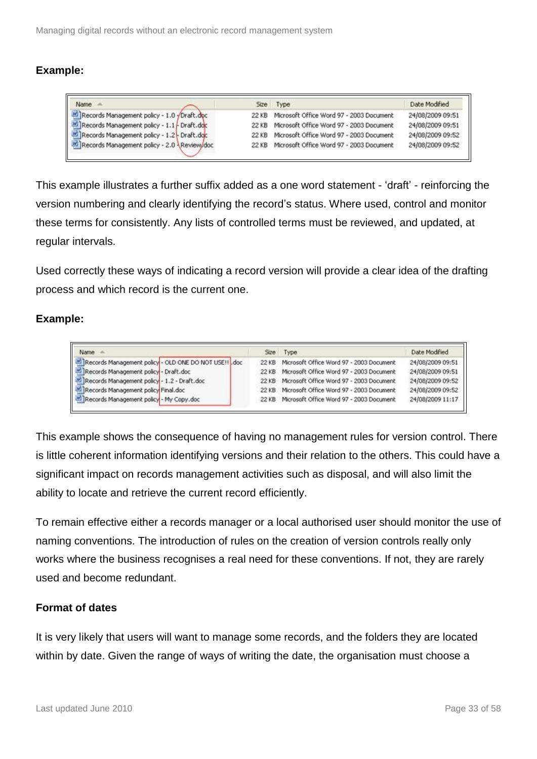| Name =                                      |       | Size Type                                | Date Modified    |
|---------------------------------------------|-------|------------------------------------------|------------------|
| Records Management policy - 1.0 yDraft.doc  | 22 KB | Microsoft Office Word 97 - 2003 Document | 24/08/2009 09:51 |
| Records Management policy - 1.1 - Draft.doc | 22 KB | Microsoft Office Word 97 - 2003 Document | 24/08/2009 09:51 |
| Records Management policy - 1.2 - Draft.doc | 22 KB | Microsoft Office Word 97 - 2003 Document | 24/08/2009 09:52 |
| Records Management policy - 2.0 Review/doc  | 22 KB | Microsoft Office Word 97 - 2003 Document | 24/08/2009 09:52 |

This example illustrates a further suffix added as a one word statement - 'draft' - reinforcing the version numbering and clearly identifying the record's status. Where used, control and monitor these terms for consistently. Any lists of controlled terms must be reviewed, and updated, at regular intervals.

Used correctly these ways of indicating a record version will provide a clear idea of the drafting process and which record is the current one.

#### **Example:**

| Name =                                                | Size Type                                      | Date Modified    |
|-------------------------------------------------------|------------------------------------------------|------------------|
| Records Management policy - OLD ONE DO NOT USE !! doc | 22 KB Microsoft Office Word 97 - 2003 Document | 24/08/2009 09:51 |
| Records Management policy - Draft.doc                 | 22 KB Microsoft Office Word 97 - 2003 Document | 24/08/2009 09:51 |
| Records Management policy - 1.2 - Draft.doc           | 22 KB Microsoft Office Word 97 - 2003 Document | 24/08/2009 09:52 |
| Records Management policy Final.doc                   | 22 KB Microsoft Office Word 97 - 2003 Document | 24/08/2009 09:52 |
| Records Management policy - My Copy.doc               | 22 KB Microsoft Office Word 97 - 2003 Document | 24/08/2009 11:17 |

This example shows the consequence of having no management rules for version control. There is little coherent information identifying versions and their relation to the others. This could have a significant impact on records management activities such as disposal, and will also limit the ability to locate and retrieve the current record efficiently.

To remain effective either a records manager or a local authorised user should monitor the use of naming conventions. The introduction of rules on the creation of version controls really only works where the business recognises a real need for these conventions. If not, they are rarely used and become redundant.

#### <span id="page-32-0"></span>**Format of dates**

It is very likely that users will want to manage some records, and the folders they are located within by date. Given the range of ways of writing the date, the organisation must choose a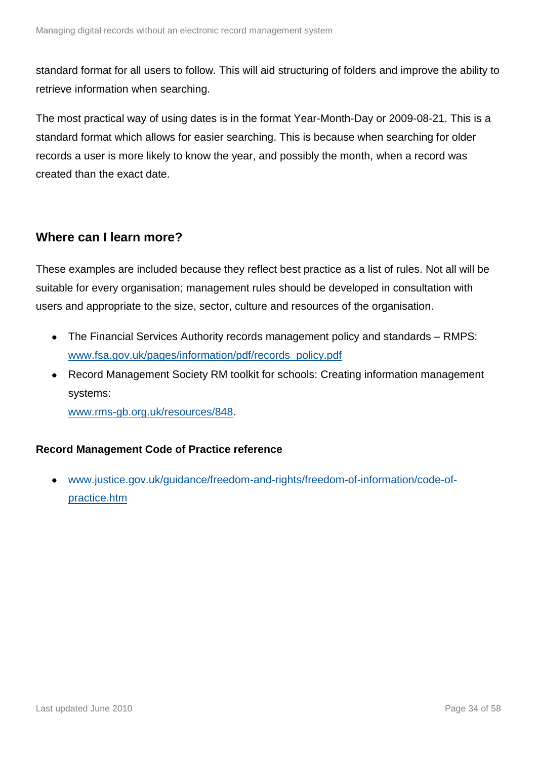standard format for all users to follow. This will aid structuring of folders and improve the ability to retrieve information when searching.

The most practical way of using dates is in the format Year-Month-Day or 2009-08-21. This is a standard format which allows for easier searching. This is because when searching for older records a user is more likely to know the year, and possibly the month, when a record was created than the exact date.

### <span id="page-33-0"></span>**Where can I learn more?**

These examples are included because they reflect best practice as a list of rules. Not all will be suitable for every organisation; management rules should be developed in consultation with users and appropriate to the size, sector, culture and resources of the organisation.

- The Financial Services Authority records management policy and standards RMPS: [www.fsa.gov.uk/pages/information/pdf/records\\_policy.pdf](http://www.fsa.gov.uk/pages/information/pdf/records_policy.pdf)
- Record Management Society RM toolkit for schools: Creating information management systems:

[www.rms-gb.org.uk/resources/848.](http://www.rms-gb.org.uk/resources/848)

#### **Record Management Code of Practice reference**

[www.justice.gov.uk/guidance/freedom-and-rights/freedom-of-information/code-of-](http://www.justice.gov.uk/guidance/freedom-and-rights/freedom-of-information/code-of-practice.htm) $\bullet$ [practice.htm](http://www.justice.gov.uk/guidance/freedom-and-rights/freedom-of-information/code-of-practice.htm)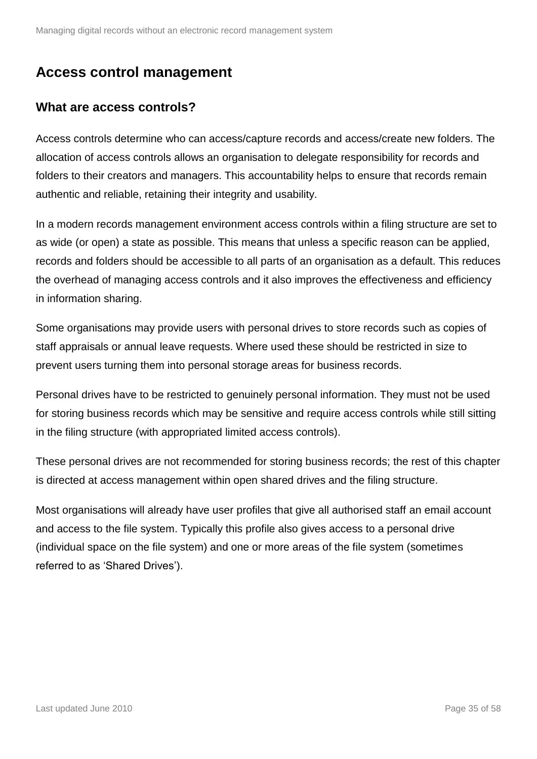## <span id="page-34-0"></span>**Access control management**

### <span id="page-34-1"></span>**What are access controls?**

Access controls determine who can access/capture records and access/create new folders. The allocation of access controls allows an organisation to delegate responsibility for records and folders to their creators and managers. This accountability helps to ensure that records remain authentic and reliable, retaining their integrity and usability.

In a modern records management environment access controls within a filing structure are set to as wide (or open) a state as possible. This means that unless a specific reason can be applied, records and folders should be accessible to all parts of an organisation as a default. This reduces the overhead of managing access controls and it also improves the effectiveness and efficiency in information sharing.

Some organisations may provide users with personal drives to store records such as copies of staff appraisals or annual leave requests. Where used these should be restricted in size to prevent users turning them into personal storage areas for business records.

Personal drives have to be restricted to genuinely personal information. They must not be used for storing business records which may be sensitive and require access controls while still sitting in the filing structure (with appropriated limited access controls).

These personal drives are not recommended for storing business records; the rest of this chapter is directed at access management within open shared drives and the filing structure.

Most organisations will already have user profiles that give all authorised staff an email account and access to the file system. Typically this profile also gives access to a personal drive (individual space on the file system) and one or more areas of the file system (sometimes referred to as 'Shared Drives').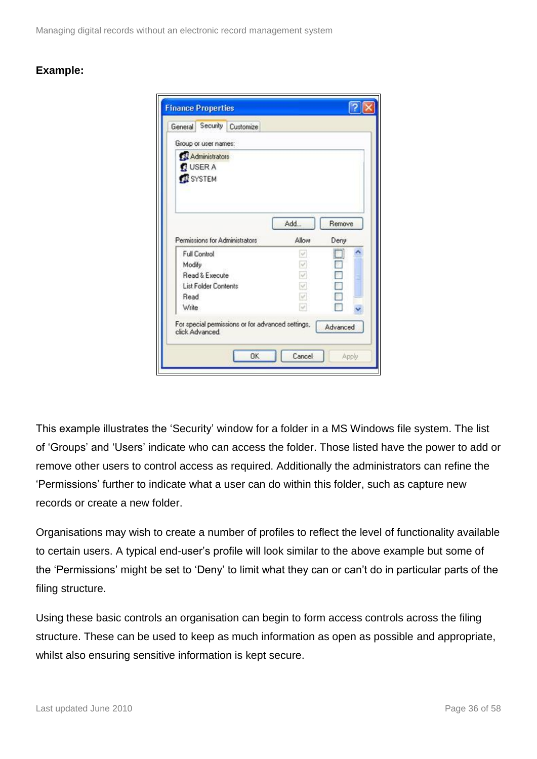Managing digital records without an electronic record management system

#### **Example:**

| General                            |                             | Security Customize             |                         |                |
|------------------------------------|-----------------------------|--------------------------------|-------------------------|----------------|
|                                    | Group or user names:        |                                |                         |                |
| <b>BUSER A</b><br><b>EX</b> SYSTEM | 22 Administrators           |                                |                         |                |
|                                    |                             | Permissions for Administrators | Add<br>Allow            | Remove<br>Deny |
| <b>Full Control</b>                |                             |                                | W.                      |                |
| Modify                             |                             |                                | V                       |                |
|                                    | Read & Execute              |                                | M                       |                |
|                                    | <b>List Folder Contents</b> |                                | $\omega$                |                |
|                                    |                             |                                |                         |                |
| Read                               |                             |                                |                         |                |
| Write                              |                             |                                | $\overline{\Psi}$<br>W. |                |

This example illustrates the 'Security' window for a folder in a MS Windows file system. The list of 'Groups' and 'Users' indicate who can access the folder. Those listed have the power to add or remove other users to control access as required. Additionally the administrators can refine the 'Permissions' further to indicate what a user can do within this folder, such as capture new records or create a new folder.

Organisations may wish to create a number of profiles to reflect the level of functionality available to certain users. A typical end-user's profile will look similar to the above example but some of the 'Permissions' might be set to 'Deny' to limit what they can or can't do in particular parts of the filing structure.

Using these basic controls an organisation can begin to form access controls across the filing structure. These can be used to keep as much information as open as possible and appropriate, whilst also ensuring sensitive information is kept secure.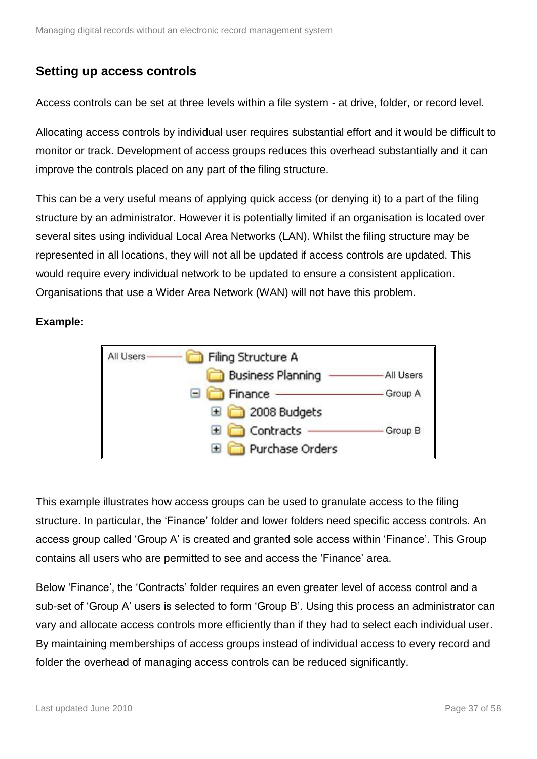### <span id="page-36-0"></span>**Setting up access controls**

Access controls can be set at three levels within a file system - at drive, folder, or record level.

Allocating access controls by individual user requires substantial effort and it would be difficult to monitor or track. Development of access groups reduces this overhead substantially and it can improve the controls placed on any part of the filing structure.

This can be a very useful means of applying quick access (or denying it) to a part of the filing structure by an administrator. However it is potentially limited if an organisation is located over several sites using individual Local Area Networks (LAN). Whilst the filing structure may be represented in all locations, they will not all be updated if access controls are updated. This would require every individual network to be updated to ensure a consistent application. Organisations that use a Wider Area Network (WAN) will not have this problem.

#### **Example:**



This example illustrates how access groups can be used to granulate access to the filing structure. In particular, the 'Finance' folder and lower folders need specific access controls. An access group called 'Group A' is created and granted sole access within 'Finance'. This Group contains all users who are permitted to see and access the 'Finance' area.

Below 'Finance', the 'Contracts' folder requires an even greater level of access control and a sub-set of 'Group A' users is selected to form 'Group B'. Using this process an administrator can vary and allocate access controls more efficiently than if they had to select each individual user. By maintaining memberships of access groups instead of individual access to every record and folder the overhead of managing access controls can be reduced significantly.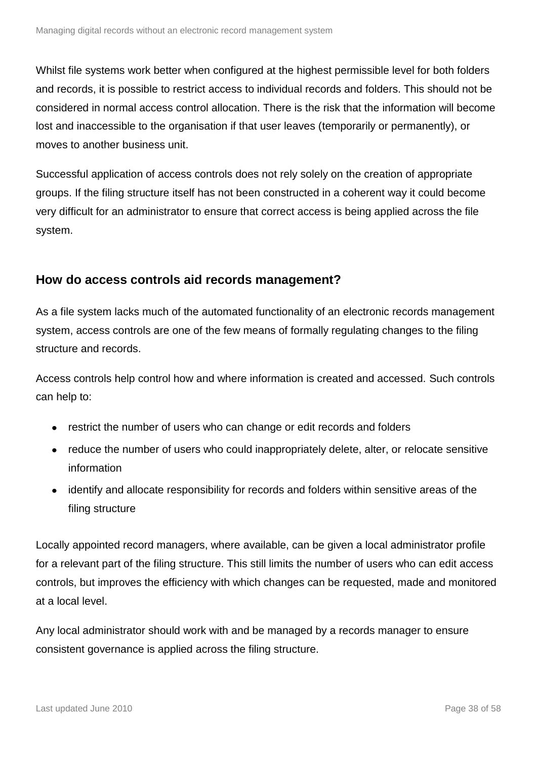Whilst file systems work better when configured at the highest permissible level for both folders and records, it is possible to restrict access to individual records and folders. This should not be considered in normal access control allocation. There is the risk that the information will become lost and inaccessible to the organisation if that user leaves (temporarily or permanently), or moves to another business unit.

Successful application of access controls does not rely solely on the creation of appropriate groups. If the filing structure itself has not been constructed in a coherent way it could become very difficult for an administrator to ensure that correct access is being applied across the file system.

#### <span id="page-37-0"></span>**How do access controls aid records management?**

As a file system lacks much of the automated functionality of an electronic records management system, access controls are one of the few means of formally regulating changes to the filing structure and records.

Access controls help control how and where information is created and accessed. Such controls can help to:

- restrict the number of users who can change or edit records and folders
- reduce the number of users who could inappropriately delete, alter, or relocate sensitive information
- $\bullet$ identify and allocate responsibility for records and folders within sensitive areas of the filing structure

Locally appointed record managers, where available, can be given a local administrator profile for a relevant part of the filing structure. This still limits the number of users who can edit access controls, but improves the efficiency with which changes can be requested, made and monitored at a local level.

Any local administrator should work with and be managed by a records manager to ensure consistent governance is applied across the filing structure.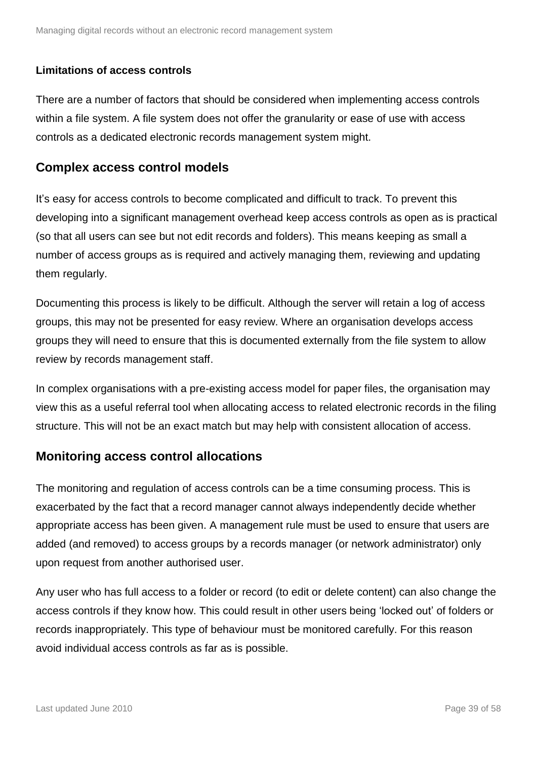#### **Limitations of access controls**

There are a number of factors that should be considered when implementing access controls within a file system. A file system does not offer the granularity or ease of use with access controls as a dedicated electronic records management system might.

#### <span id="page-38-0"></span>**Complex access control models**

It's easy for access controls to become complicated and difficult to track. To prevent this developing into a significant management overhead keep access controls as open as is practical (so that all users can see but not edit records and folders). This means keeping as small a number of access groups as is required and actively managing them, reviewing and updating them regularly.

Documenting this process is likely to be difficult. Although the server will retain a log of access groups, this may not be presented for easy review. Where an organisation develops access groups they will need to ensure that this is documented externally from the file system to allow review by records management staff.

In complex organisations with a pre-existing access model for paper files, the organisation may view this as a useful referral tool when allocating access to related electronic records in the filing structure. This will not be an exact match but may help with consistent allocation of access.

#### <span id="page-38-1"></span>**Monitoring access control allocations**

The monitoring and regulation of access controls can be a time consuming process. This is exacerbated by the fact that a record manager cannot always independently decide whether appropriate access has been given. A management rule must be used to ensure that users are added (and removed) to access groups by a records manager (or network administrator) only upon request from another authorised user.

Any user who has full access to a folder or record (to edit or delete content) can also change the access controls if they know how. This could result in other users being 'locked out' of folders or records inappropriately. This type of behaviour must be monitored carefully. For this reason avoid individual access controls as far as is possible.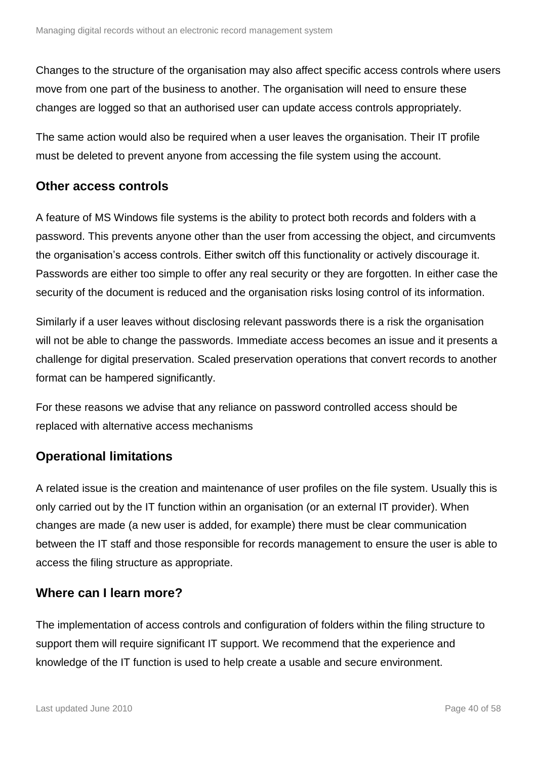Changes to the structure of the organisation may also affect specific access controls where users move from one part of the business to another. The organisation will need to ensure these changes are logged so that an authorised user can update access controls appropriately.

The same action would also be required when a user leaves the organisation. Their IT profile must be deleted to prevent anyone from accessing the file system using the account.

#### <span id="page-39-0"></span>**Other access controls**

A feature of MS Windows file systems is the ability to protect both records and folders with a password. This prevents anyone other than the user from accessing the object, and circumvents the organisation's access controls. Either switch off this functionality or actively discourage it. Passwords are either too simple to offer any real security or they are forgotten. In either case the security of the document is reduced and the organisation risks losing control of its information.

Similarly if a user leaves without disclosing relevant passwords there is a risk the organisation will not be able to change the passwords. Immediate access becomes an issue and it presents a challenge for digital preservation. Scaled preservation operations that convert records to another format can be hampered significantly.

For these reasons we advise that any reliance on password controlled access should be replaced with alternative access mechanisms

### <span id="page-39-1"></span>**Operational limitations**

A related issue is the creation and maintenance of user profiles on the file system. Usually this is only carried out by the IT function within an organisation (or an external IT provider). When changes are made (a new user is added, for example) there must be clear communication between the IT staff and those responsible for records management to ensure the user is able to access the filing structure as appropriate.

### <span id="page-39-2"></span>**Where can I learn more?**

The implementation of access controls and configuration of folders within the filing structure to support them will require significant IT support. We recommend that the experience and knowledge of the IT function is used to help create a usable and secure environment.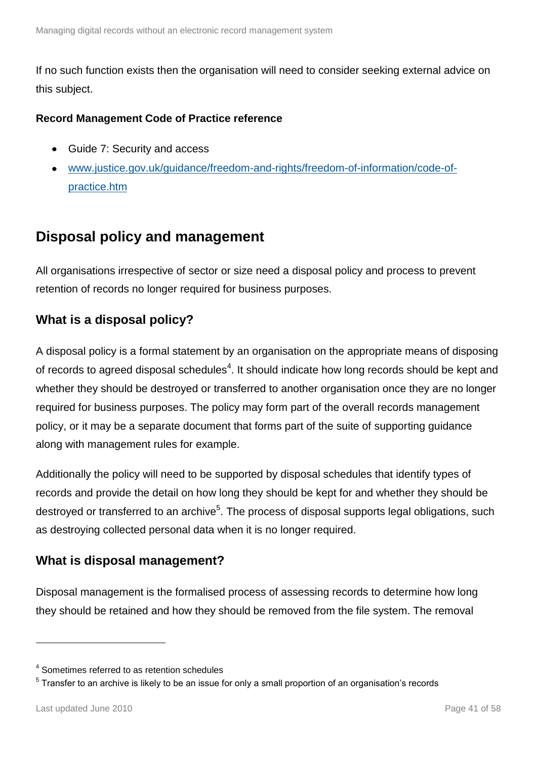If no such function exists then the organisation will need to consider seeking external advice on this subject.

#### **Record Management Code of Practice reference**

- Guide 7: Security and access
- [www.justice.gov.uk/guidance/freedom-and-rights/freedom-of-information/code-of](http://www.justice.gov.uk/guidance/freedom-and-rights/freedom-of-information/code-of-practice.htm)[practice.htm](http://www.justice.gov.uk/guidance/freedom-and-rights/freedom-of-information/code-of-practice.htm)

### <span id="page-40-0"></span>**Disposal policy and management**

All organisations irrespective of sector or size need a disposal policy and process to prevent retention of records no longer required for business purposes.

### <span id="page-40-1"></span>**What is a disposal policy?**

A disposal policy is a formal statement by an organisation on the appropriate means of disposing of records to agreed disposal schedules<sup>4</sup>. It should indicate how long records should be kept and whether they should be destroyed or transferred to another organisation once they are no longer required for business purposes. The policy may form part of the overall records management policy, or it may be a separate document that forms part of the suite of supporting guidance along with management rules for example.

Additionally the policy will need to be supported by disposal schedules that identify types of records and provide the detail on how long they should be kept for and whether they should be destroyed or transferred to an archive<sup>5</sup>. The process of disposal supports legal obligations, such as destroying collected personal data when it is no longer required.

### <span id="page-40-2"></span>**What is disposal management?**

Disposal management is the formalised process of assessing records to determine how long they should be retained and how they should be removed from the file system. The removal

1

<sup>4</sup> Sometimes referred to as retention schedules

 $5$  Transfer to an archive is likely to be an issue for only a small proportion of an organisation's records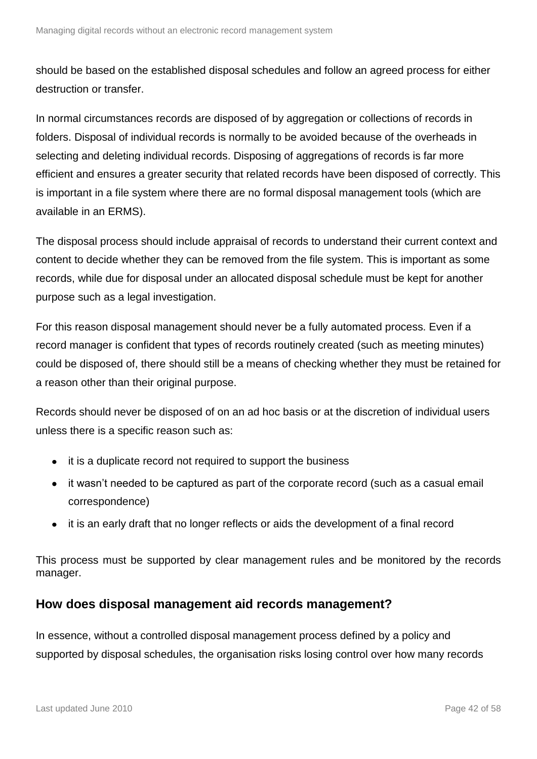should be based on the established disposal schedules and follow an agreed process for either destruction or transfer.

In normal circumstances records are disposed of by aggregation or collections of records in folders. Disposal of individual records is normally to be avoided because of the overheads in selecting and deleting individual records. Disposing of aggregations of records is far more efficient and ensures a greater security that related records have been disposed of correctly. This is important in a file system where there are no formal disposal management tools (which are available in an ERMS).

The disposal process should include appraisal of records to understand their current context and content to decide whether they can be removed from the file system. This is important as some records, while due for disposal under an allocated disposal schedule must be kept for another purpose such as a legal investigation.

For this reason disposal management should never be a fully automated process. Even if a record manager is confident that types of records routinely created (such as meeting minutes) could be disposed of, there should still be a means of checking whether they must be retained for a reason other than their original purpose.

Records should never be disposed of on an ad hoc basis or at the discretion of individual users unless there is a specific reason such as:

- it is a duplicate record not required to support the business
- it wasn't needed to be captured as part of the corporate record (such as a casual email correspondence)
- it is an early draft that no longer reflects or aids the development of a final record

This process must be supported by clear management rules and be monitored by the records manager.

#### <span id="page-41-0"></span>**How does disposal management aid records management?**

In essence, without a controlled disposal management process defined by a policy and supported by disposal schedules, the organisation risks losing control over how many records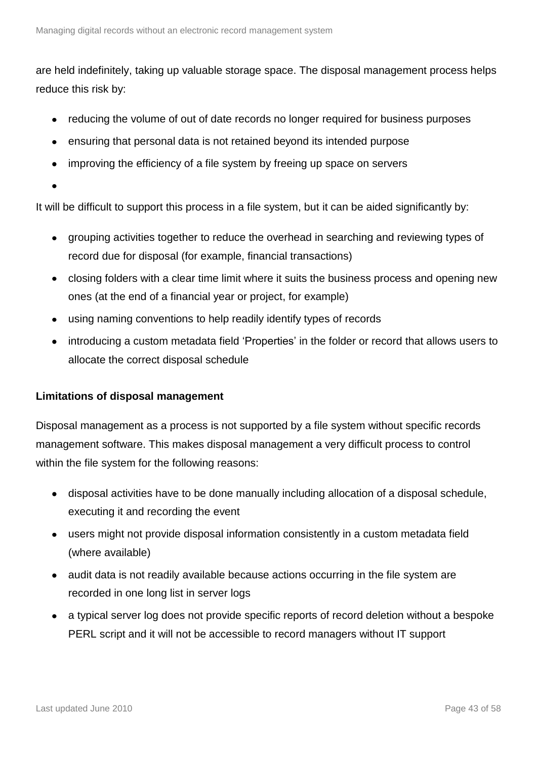are held indefinitely, taking up valuable storage space. The disposal management process helps reduce this risk by:

- reducing the volume of out of date records no longer required for business purposes
- ensuring that personal data is not retained beyond its intended purpose
- improving the efficiency of a file system by freeing up space on servers
- 

It will be difficult to support this process in a file system, but it can be aided significantly by:

- grouping activities together to reduce the overhead in searching and reviewing types of record due for disposal (for example, financial transactions)
- closing folders with a clear time limit where it suits the business process and opening new ones (at the end of a financial year or project, for example)
- using naming conventions to help readily identify types of records
- $\bullet$ introducing a custom metadata field 'Properties' in the folder or record that allows users to allocate the correct disposal schedule

#### **Limitations of disposal management**

Disposal management as a process is not supported by a file system without specific records management software. This makes disposal management a very difficult process to control within the file system for the following reasons:

- disposal activities have to be done manually including allocation of a disposal schedule, executing it and recording the event
- users might not provide disposal information consistently in a custom metadata field (where available)
- audit data is not readily available because actions occurring in the file system are recorded in one long list in server logs
- a typical server log does not provide specific reports of record deletion without a bespoke PERL script and it will not be accessible to record managers without IT support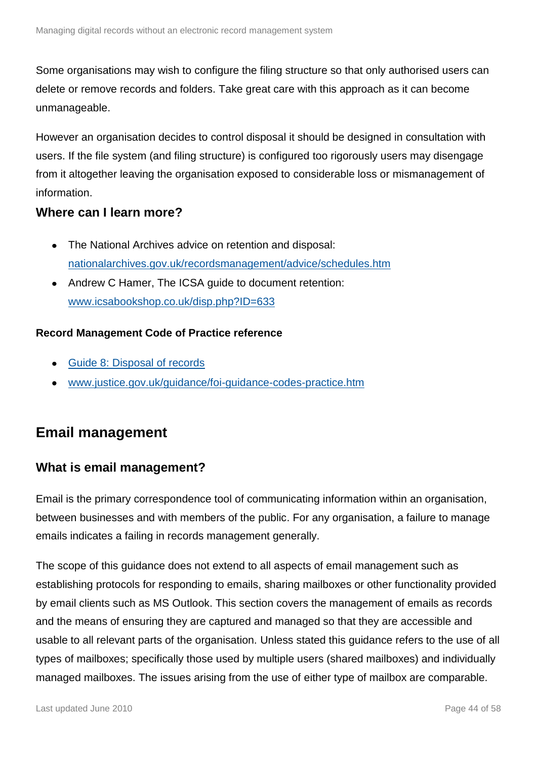Some organisations may wish to configure the filing structure so that only authorised users can delete or remove records and folders. Take great care with this approach as it can become unmanageable.

However an organisation decides to control disposal it should be designed in consultation with users. If the file system (and filing structure) is configured too rigorously users may disengage from it altogether leaving the organisation exposed to considerable loss or mismanagement of information.

#### <span id="page-43-0"></span>**Where can I learn more?**

- The National Archives advice on retention and disposal: [nationalarchives.gov.uk/recordsmanagement/advice/schedules.htm](http://www.nationalarchives.gov.uk/recordsmanagement/advice/schedules.htm)
- Andrew C Hamer, The ICSA guide to document retention:  $\bullet$ [www.icsabookshop.co.uk/disp.php?ID=633](http://www.icsabookshop.co.uk/disp.php?ID=633)

#### **Record Management Code of Practice reference**

- [Guide 8: Disposal of records](http://www.nationalarchives.gov.uk/documents/information-management/rm-code-guide8.pdf)
- [www.justice.gov.uk/guidance/foi-guidance-codes-practice.htm](http://www.justice.gov.uk/guidance/foi-guidance-codes-practice.htm)

### <span id="page-43-1"></span>**Email management**

#### <span id="page-43-2"></span>**What is email management?**

Email is the primary correspondence tool of communicating information within an organisation, between businesses and with members of the public. For any organisation, a failure to manage emails indicates a failing in records management generally.

The scope of this guidance does not extend to all aspects of email management such as establishing protocols for responding to emails, sharing mailboxes or other functionality provided by email clients such as MS Outlook. This section covers the management of emails as records and the means of ensuring they are captured and managed so that they are accessible and usable to all relevant parts of the organisation. Unless stated this guidance refers to the use of all types of mailboxes; specifically those used by multiple users (shared mailboxes) and individually managed mailboxes. The issues arising from the use of either type of mailbox are comparable.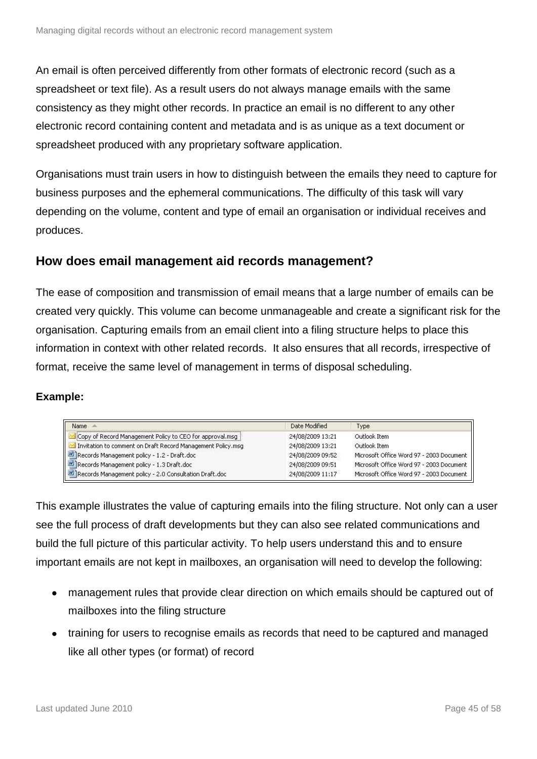An email is often perceived differently from other formats of electronic record (such as a spreadsheet or text file). As a result users do not always manage emails with the same consistency as they might other records. In practice an email is no different to any other electronic record containing content and metadata and is as unique as a text document or spreadsheet produced with any proprietary software application.

Organisations must train users in how to distinguish between the emails they need to capture for business purposes and the ephemeral communications. The difficulty of this task will vary depending on the volume, content and type of email an organisation or individual receives and produces.

#### <span id="page-44-0"></span>**How does email management aid records management?**

The ease of composition and transmission of email means that a large number of emails can be created very quickly. This volume can become unmanageable and create a significant risk for the organisation. Capturing emails from an email client into a filing structure helps to place this information in context with other related records. It also ensures that all records, irrespective of format, receive the same level of management in terms of disposal scheduling.

#### **Example:**

| Name                                                        | Date Modified    | Type                                     |
|-------------------------------------------------------------|------------------|------------------------------------------|
| Copy of Record Management Policy to CEO for approval.msg    | 24/08/2009 13:21 | Outlook Item                             |
| Invitation to comment on Draft Record Management Policy.msg | 24/08/2009 13:21 | Outlook Item                             |
| Records Management policy - 1.2 - Draft.doc                 | 24/08/2009 09:52 | Microsoft Office Word 97 - 2003 Document |
| Records Management policy - 1.3 Draft.doc                   | 24/08/2009 09:51 | Microsoft Office Word 97 - 2003 Document |
| Records Management policy - 2.0 Consultation Draft.doc      | 24/08/2009 11:17 | Microsoft Office Word 97 - 2003 Document |

This example illustrates the value of capturing emails into the filing structure. Not only can a user see the full process of draft developments but they can also see related communications and build the full picture of this particular activity. To help users understand this and to ensure important emails are not kept in mailboxes, an organisation will need to develop the following:

- management rules that provide clear direction on which emails should be captured out of mailboxes into the filing structure
- training for users to recognise emails as records that need to be captured and managed like all other types (or format) of record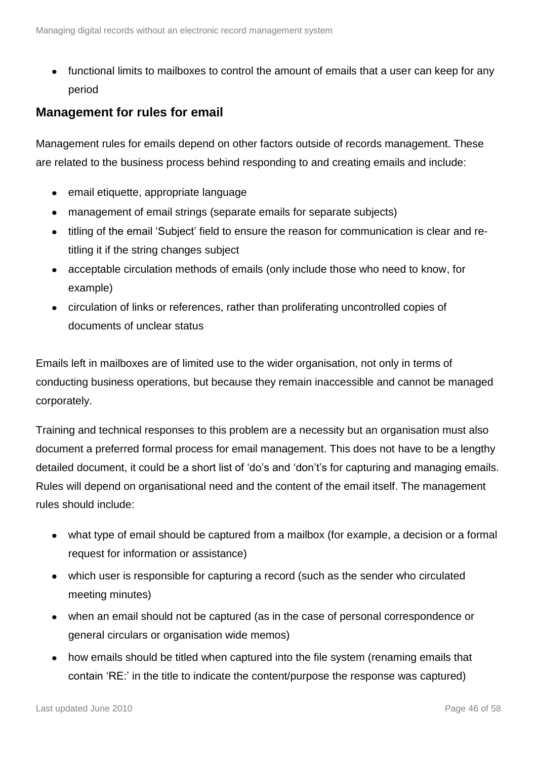functional limits to mailboxes to control the amount of emails that a user can keep for any period

#### <span id="page-45-0"></span>**Management for rules for email**

Management rules for emails depend on other factors outside of records management. These are related to the business process behind responding to and creating emails and include:

- email etiquette, appropriate language
- management of email strings (separate emails for separate subjects)
- titling of the email 'Subject' field to ensure the reason for communication is clear and retitling it if the string changes subject
- acceptable circulation methods of emails (only include those who need to know, for example)
- circulation of links or references, rather than proliferating uncontrolled copies of documents of unclear status

Emails left in mailboxes are of limited use to the wider organisation, not only in terms of conducting business operations, but because they remain inaccessible and cannot be managed corporately.

Training and technical responses to this problem are a necessity but an organisation must also document a preferred formal process for email management. This does not have to be a lengthy detailed document, it could be a short list of 'do's and 'don't's for capturing and managing emails. Rules will depend on organisational need and the content of the email itself. The management rules should include:

- what type of email should be captured from a mailbox (for example, a decision or a formal request for information or assistance)
- which user is responsible for capturing a record (such as the sender who circulated meeting minutes)
- when an email should not be captured (as in the case of personal correspondence or general circulars or organisation wide memos)
- how emails should be titled when captured into the file system (renaming emails that contain 'RE:' in the title to indicate the content/purpose the response was captured)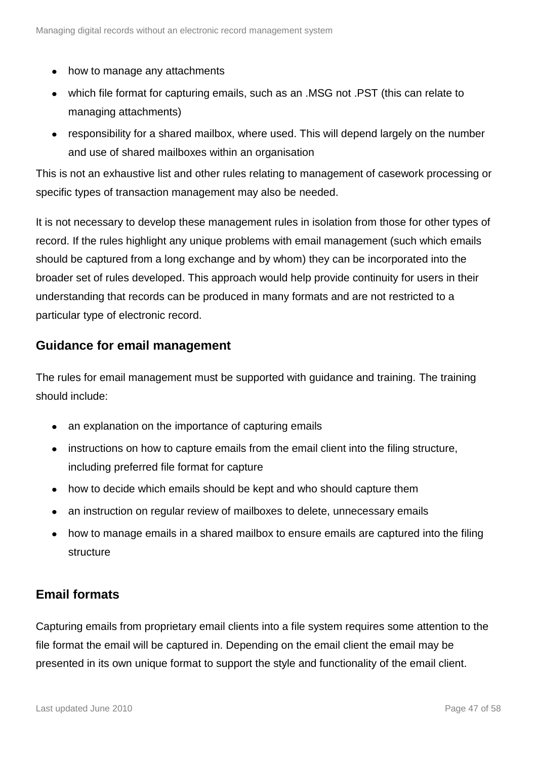- how to manage any attachments
- which file format for capturing emails, such as an .MSG not .PST (this can relate to managing attachments)
- responsibility for a shared mailbox, where used. This will depend largely on the number and use of shared mailboxes within an organisation

This is not an exhaustive list and other rules relating to management of casework processing or specific types of transaction management may also be needed.

It is not necessary to develop these management rules in isolation from those for other types of record. If the rules highlight any unique problems with email management (such which emails should be captured from a long exchange and by whom) they can be incorporated into the broader set of rules developed. This approach would help provide continuity for users in their understanding that records can be produced in many formats and are not restricted to a particular type of electronic record.

#### <span id="page-46-0"></span>**Guidance for email management**

The rules for email management must be supported with guidance and training. The training should include:

- an explanation on the importance of capturing emails
- instructions on how to capture emails from the email client into the filing structure, including preferred file format for capture
- how to decide which emails should be kept and who should capture them
- an instruction on regular review of mailboxes to delete, unnecessary emails
- how to manage emails in a shared mailbox to ensure emails are captured into the filing  $\bullet$ structure

#### <span id="page-46-1"></span>**Email formats**

Capturing emails from proprietary email clients into a file system requires some attention to the file format the email will be captured in. Depending on the email client the email may be presented in its own unique format to support the style and functionality of the email client.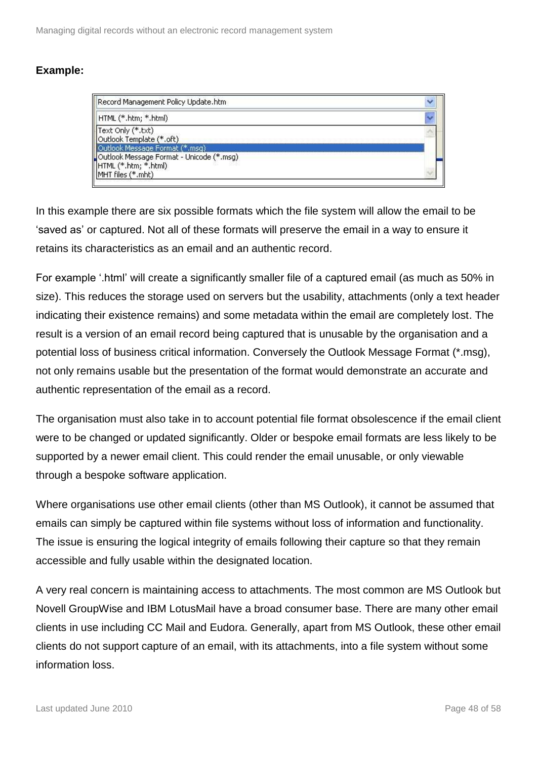| Record Management Policy Update.htm                                                   |  |
|---------------------------------------------------------------------------------------|--|
| HTML (*.htm; *.html)                                                                  |  |
| Text Only (*,txt)<br>Outlook Template (*.oft)<br>Outlook Message Format (*.msg)       |  |
| Outlook Message Format - Unicode (*.msg)<br>HTML (*.htm; *.html)<br>MHT files (*.mht) |  |

In this example there are six possible formats which the file system will allow the email to be 'saved as' or captured. Not all of these formats will preserve the email in a way to ensure it retains its characteristics as an email and an authentic record.

For example '.html' will create a significantly smaller file of a captured email (as much as 50% in size). This reduces the storage used on servers but the usability, attachments (only a text header indicating their existence remains) and some metadata within the email are completely lost. The result is a version of an email record being captured that is unusable by the organisation and a potential loss of business critical information. Conversely the Outlook Message Format (\*.msg), not only remains usable but the presentation of the format would demonstrate an accurate and authentic representation of the email as a record.

The organisation must also take in to account potential file format obsolescence if the email client were to be changed or updated significantly. Older or bespoke email formats are less likely to be supported by a newer email client. This could render the email unusable, or only viewable through a bespoke software application.

Where organisations use other email clients (other than MS Outlook), it cannot be assumed that emails can simply be captured within file systems without loss of information and functionality. The issue is ensuring the logical integrity of emails following their capture so that they remain accessible and fully usable within the designated location.

A very real concern is maintaining access to attachments. The most common are MS Outlook but Novell GroupWise and IBM LotusMail have a broad consumer base. There are many other email clients in use including CC Mail and Eudora. Generally, apart from MS Outlook, these other email clients do not support capture of an email, with its attachments, into a file system without some information loss.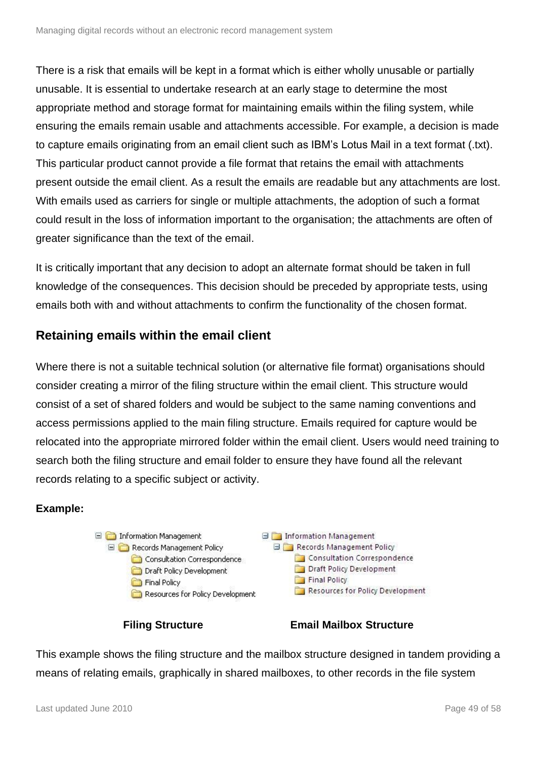There is a risk that emails will be kept in a format which is either wholly unusable or partially unusable. It is essential to undertake research at an early stage to determine the most appropriate method and storage format for maintaining emails within the filing system, while ensuring the emails remain usable and attachments accessible. For example, a decision is made to capture emails originating from an email client such as IBM's Lotus Mail in a text format (.txt). This particular product cannot provide a file format that retains the email with attachments present outside the email client. As a result the emails are readable but any attachments are lost. With emails used as carriers for single or multiple attachments, the adoption of such a format could result in the loss of information important to the organisation; the attachments are often of greater significance than the text of the email.

It is critically important that any decision to adopt an alternate format should be taken in full knowledge of the consequences. This decision should be preceded by appropriate tests, using emails both with and without attachments to confirm the functionality of the chosen format.

### <span id="page-48-0"></span>**Retaining emails within the email client**

Where there is not a suitable technical solution (or alternative file format) organisations should consider creating a mirror of the filing structure within the email client. This structure would consist of a set of shared folders and would be subject to the same naming conventions and access permissions applied to the main filing structure. Emails required for capture would be relocated into the appropriate mirrored folder within the email client. Users would need training to search both the filing structure and email folder to ensure they have found all the relevant records relating to a specific subject or activity.

#### **Example:**



**Filing Structure Email Mailbox Structure**

This example shows the filing structure and the mailbox structure designed in tandem providing a means of relating emails, graphically in shared mailboxes, to other records in the file system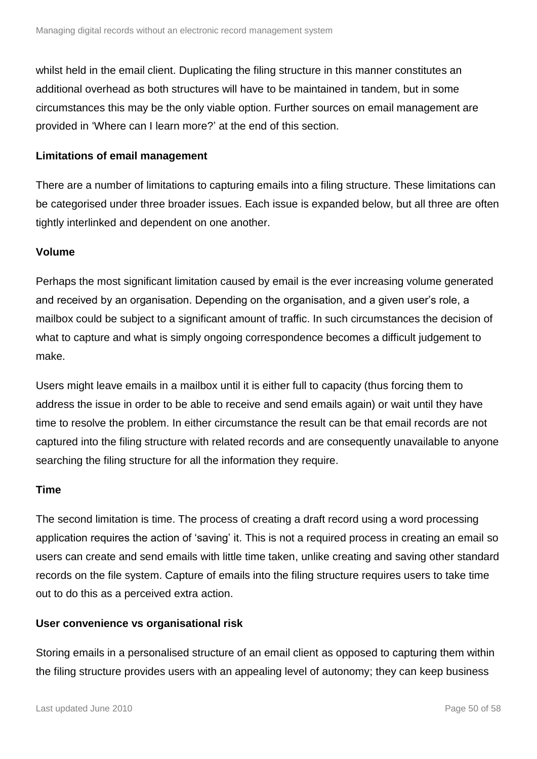whilst held in the email client. Duplicating the filing structure in this manner constitutes an additional overhead as both structures will have to be maintained in tandem, but in some circumstances this may be the only viable option. Further sources on email management are provided in 'Where can I learn more?' at the end of this section.

#### **Limitations of email management**

There are a number of limitations to capturing emails into a filing structure. These limitations can be categorised under three broader issues. Each issue is expanded below, but all three are often tightly interlinked and dependent on one another.

#### **Volume**

Perhaps the most significant limitation caused by email is the ever increasing volume generated and received by an organisation. Depending on the organisation, and a given user's role, a mailbox could be subject to a significant amount of traffic. In such circumstances the decision of what to capture and what is simply ongoing correspondence becomes a difficult judgement to make.

Users might leave emails in a mailbox until it is either full to capacity (thus forcing them to address the issue in order to be able to receive and send emails again) or wait until they have time to resolve the problem. In either circumstance the result can be that email records are not captured into the filing structure with related records and are consequently unavailable to anyone searching the filing structure for all the information they require.

#### **Time**

The second limitation is time. The process of creating a draft record using a word processing application requires the action of 'saving' it. This is not a required process in creating an email so users can create and send emails with little time taken, unlike creating and saving other standard records on the file system. Capture of emails into the filing structure requires users to take time out to do this as a perceived extra action.

#### **User convenience vs organisational risk**

Storing emails in a personalised structure of an email client as opposed to capturing them within the filing structure provides users with an appealing level of autonomy; they can keep business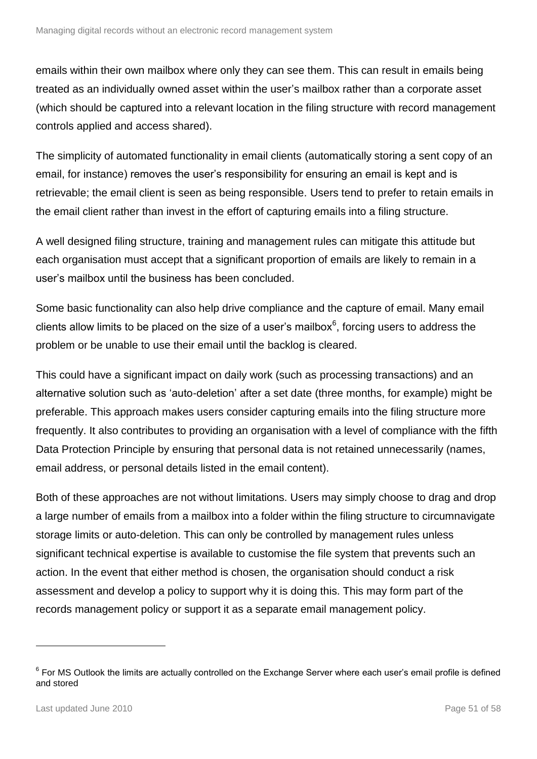emails within their own mailbox where only they can see them. This can result in emails being treated as an individually owned asset within the user's mailbox rather than a corporate asset (which should be captured into a relevant location in the filing structure with record management controls applied and access shared).

The simplicity of automated functionality in email clients (automatically storing a sent copy of an email, for instance) removes the user's responsibility for ensuring an email is kept and is retrievable; the email client is seen as being responsible. Users tend to prefer to retain emails in the email client rather than invest in the effort of capturing emails into a filing structure.

A well designed filing structure, training and management rules can mitigate this attitude but each organisation must accept that a significant proportion of emails are likely to remain in a user's mailbox until the business has been concluded.

Some basic functionality can also help drive compliance and the capture of email. Many email clients allow limits to be placed on the size of a user's mailbox $6$ , forcing users to address the problem or be unable to use their email until the backlog is cleared.

This could have a significant impact on daily work (such as processing transactions) and an alternative solution such as 'auto-deletion' after a set date (three months, for example) might be preferable. This approach makes users consider capturing emails into the filing structure more frequently. It also contributes to providing an organisation with a level of compliance with the fifth Data Protection Principle by ensuring that personal data is not retained unnecessarily (names, email address, or personal details listed in the email content).

Both of these approaches are not without limitations. Users may simply choose to drag and drop a large number of emails from a mailbox into a folder within the filing structure to circumnavigate storage limits or auto-deletion. This can only be controlled by management rules unless significant technical expertise is available to customise the file system that prevents such an action. In the event that either method is chosen, the organisation should conduct a risk assessment and develop a policy to support why it is doing this. This may form part of the records management policy or support it as a separate email management policy.

1

 $6$  For MS Outlook the limits are actually controlled on the Exchange Server where each user's email profile is defined and stored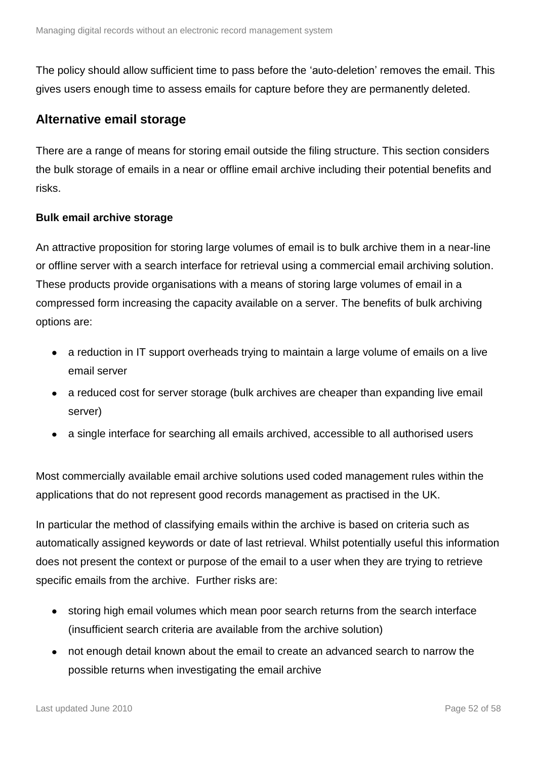The policy should allow sufficient time to pass before the 'auto-deletion' removes the email. This gives users enough time to assess emails for capture before they are permanently deleted.

#### <span id="page-51-0"></span>**Alternative email storage**

There are a range of means for storing email outside the filing structure. This section considers the bulk storage of emails in a near or offline email archive including their potential benefits and risks.

#### <span id="page-51-1"></span>**Bulk email archive storage**

An attractive proposition for storing large volumes of email is to bulk archive them in a near-line or offline server with a search interface for retrieval using a commercial email archiving solution. These products provide organisations with a means of storing large volumes of email in a compressed form increasing the capacity available on a server. The benefits of bulk archiving options are:

- a reduction in IT support overheads trying to maintain a large volume of emails on a live email server
- a reduced cost for server storage (bulk archives are cheaper than expanding live email server)
- a single interface for searching all emails archived, accessible to all authorised users

Most commercially available email archive solutions used coded management rules within the applications that do not represent good records management as practised in the UK.

In particular the method of classifying emails within the archive is based on criteria such as automatically assigned keywords or date of last retrieval. Whilst potentially useful this information does not present the context or purpose of the email to a user when they are trying to retrieve specific emails from the archive. Further risks are:

- storing high email volumes which mean poor search returns from the search interface (insufficient search criteria are available from the archive solution)
- not enough detail known about the email to create an advanced search to narrow the possible returns when investigating the email archive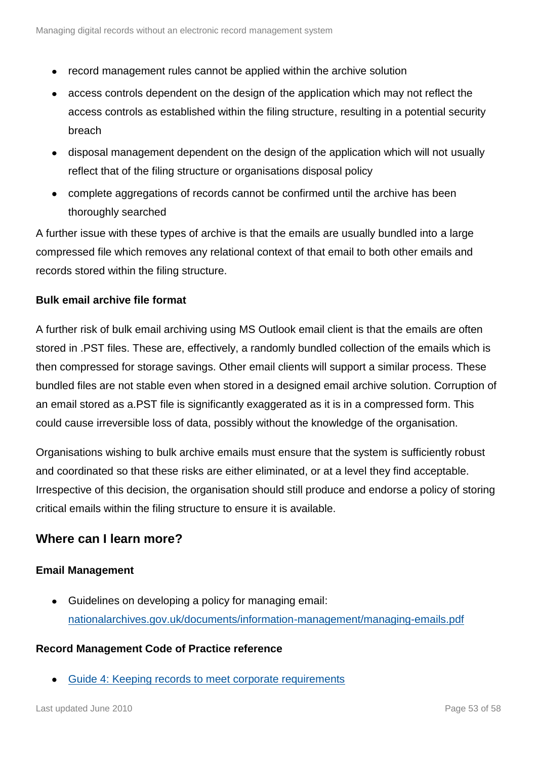- record management rules cannot be applied within the archive solution
- access controls dependent on the design of the application which may not reflect the access controls as established within the filing structure, resulting in a potential security breach
- disposal management dependent on the design of the application which will not usually reflect that of the filing structure or organisations disposal policy
- complete aggregations of records cannot be confirmed until the archive has been thoroughly searched

A further issue with these types of archive is that the emails are usually bundled into a large compressed file which removes any relational context of that email to both other emails and records stored within the filing structure.

#### <span id="page-52-0"></span>**Bulk email archive file format**

A further risk of bulk email archiving using MS Outlook email client is that the emails are often stored in .PST files. These are, effectively, a randomly bundled collection of the emails which is then compressed for storage savings. Other email clients will support a similar process. These bundled files are not stable even when stored in a designed email archive solution. Corruption of an email stored as a.PST file is significantly exaggerated as it is in a compressed form. This could cause irreversible loss of data, possibly without the knowledge of the organisation.

Organisations wishing to bulk archive emails must ensure that the system is sufficiently robust and coordinated so that these risks are either eliminated, or at a level they find acceptable. Irrespective of this decision, the organisation should still produce and endorse a policy of storing critical emails within the filing structure to ensure it is available.

#### <span id="page-52-1"></span>**Where can I learn more?**

#### **Email Management**

Guidelines on developing a policy for managing email: [nationalarchives.gov.uk/documents/information-management/managing-emails.pdf](http://www.nationalarchives.gov.uk/documents/information-management/managing-emails.pdf)

#### **Record Management Code of Practice reference**

[Guide 4: Keeping records to meet corporate requirements](http://www.nationalarchives.gov.uk/documents/information-management/rm-code-guide4.pdf)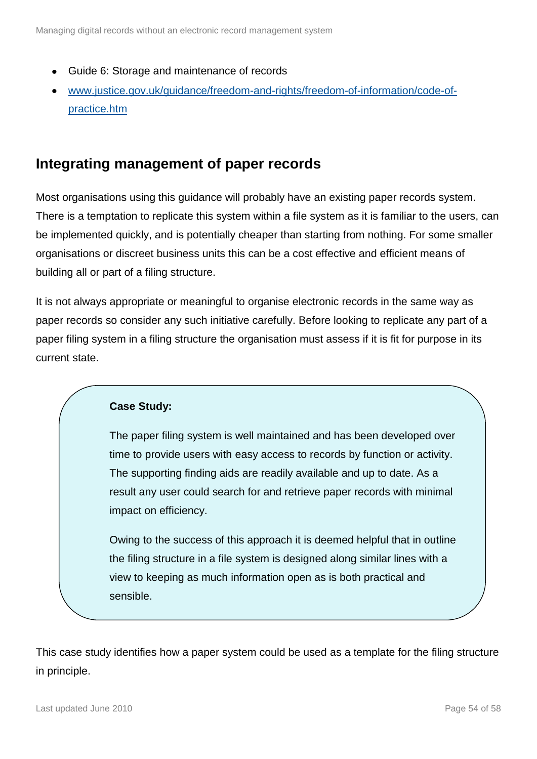- Guide 6: Storage and maintenance of records
- [www.justice.gov.uk/guidance/freedom-and-rights/freedom-of-information/code-of](http://www.justice.gov.uk/guidance/freedom-and-rights/freedom-of-information/code-of-practice.htm)[practice.htm](http://www.justice.gov.uk/guidance/freedom-and-rights/freedom-of-information/code-of-practice.htm)

### <span id="page-53-0"></span>**Integrating management of paper records**

Most organisations using this guidance will probably have an existing paper records system. There is a temptation to replicate this system within a file system as it is familiar to the users, can be implemented quickly, and is potentially cheaper than starting from nothing. For some smaller organisations or discreet business units this can be a cost effective and efficient means of building all or part of a filing structure.

It is not always appropriate or meaningful to organise electronic records in the same way as paper records so consider any such initiative carefully. Before looking to replicate any part of a paper filing system in a filing structure the organisation must assess if it is fit for purpose in its current state.

#### **Case Study:**

The paper filing system is well maintained and has been developed over time to provide users with easy access to records by function or activity. The supporting finding aids are readily available and up to date. As a result any user could search for and retrieve paper records with minimal impact on efficiency.

Owing to the success of this approach it is deemed helpful that in outline the filing structure in a file system is designed along similar lines with a view to keeping as much information open as is both practical and sensible.

This case study identifies how a paper system could be used as a template for the filing structure in principle.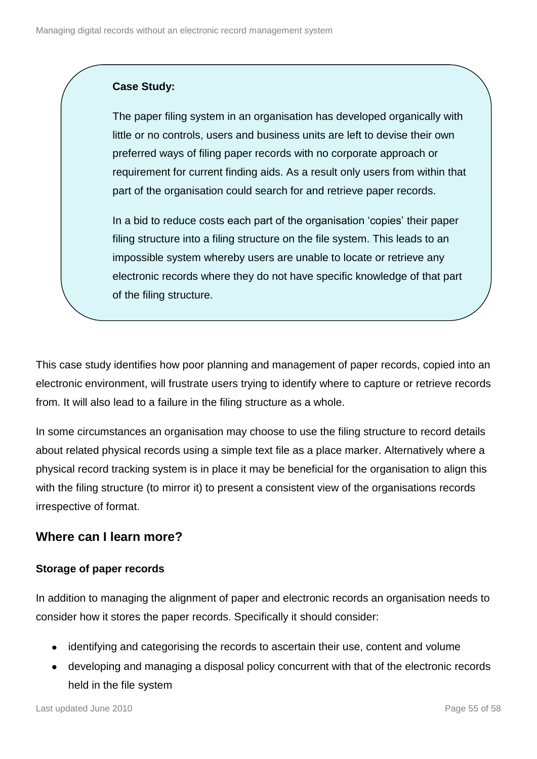#### **Case Study:**

The paper filing system in an organisation has developed organically with little or no controls, users and business units are left to devise their own preferred ways of filing paper records with no corporate approach or requirement for current finding aids. As a result only users from within that part of the organisation could search for and retrieve paper records.

In a bid to reduce costs each part of the organisation 'copies' their paper filing structure into a filing structure on the file system. This leads to an impossible system whereby users are unable to locate or retrieve any electronic records where they do not have specific knowledge of that part of the filing structure.

This case study identifies how poor planning and management of paper records, copied into an electronic environment, will frustrate users trying to identify where to capture or retrieve records from. It will also lead to a failure in the filing structure as a whole.

In some circumstances an organisation may choose to use the filing structure to record details about related physical records using a simple text file as a place marker. Alternatively where a physical record tracking system is in place it may be beneficial for the organisation to align this with the filing structure (to mirror it) to present a consistent view of the organisations records irrespective of format.

### <span id="page-54-0"></span>**Where can I learn more?**

#### **Storage of paper records**

In addition to managing the alignment of paper and electronic records an organisation needs to consider how it stores the paper records. Specifically it should consider:

- identifying and categorising the records to ascertain their use, content and volume
- developing and managing a disposal policy concurrent with that of the electronic records held in the file system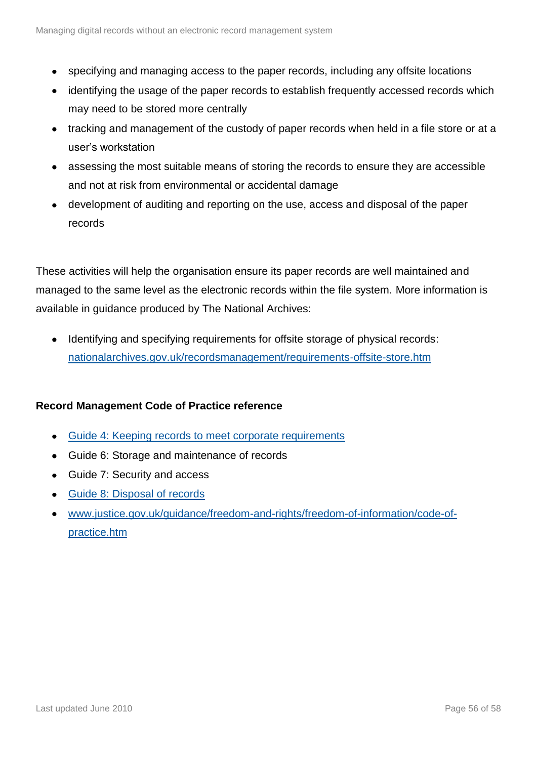- specifying and managing access to the paper records, including any offsite locations
- identifying the usage of the paper records to establish frequently accessed records which may need to be stored more centrally
- tracking and management of the custody of paper records when held in a file store or at a user's workstation
- assessing the most suitable means of storing the records to ensure they are accessible and not at risk from environmental or accidental damage
- development of auditing and reporting on the use, access and disposal of the paper records

These activities will help the organisation ensure its paper records are well maintained and managed to the same level as the electronic records within the file system. More information is available in guidance produced by The National Archives:

 $\bullet$ Identifying and specifying requirements for offsite storage of physical records: [nationalarchives.gov.uk/recordsmanagement/requirements-offsite-store.htm](http://www.nationalarchives.gov.uk/recordsmanagement/requirements-offsite-store.htm)

#### **Record Management Code of Practice reference**

- [Guide 4: Keeping records to meet corporate requirements](http://www.nationalarchives.gov.uk/documents/information-management/rm-code-guide4.pdf)
- Guide 6: Storage and maintenance of records
- Guide 7: Security and access
- [Guide 8: Disposal of records](http://www.nationalarchives.gov.uk/documents/information-management/rm-code-guide8.pdf)
- [www.justice.gov.uk/guidance/freedom-and-rights/freedom-of-information/code-of](http://www.justice.gov.uk/guidance/freedom-and-rights/freedom-of-information/code-of-practice.htm)[practice.htm](http://www.justice.gov.uk/guidance/freedom-and-rights/freedom-of-information/code-of-practice.htm)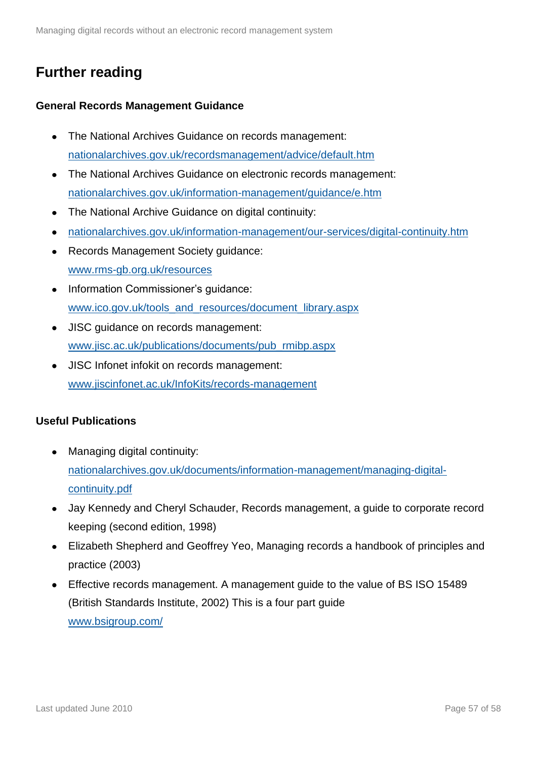### <span id="page-56-0"></span>**Further reading**

#### **General Records Management Guidance**

- The National Archives Guidance on records management: [nationalarchives.gov.uk/recordsmanagement/advice/default.htm](http://www.nationalarchives.gov.uk/recordsmanagement/advice/default.htm)
- The National Archives Guidance on electronic records management: [nationalarchives.gov.uk/information-management/guidance/e.htm](http://www.nationalarchives.gov.uk/information-management/guidance/e.htm)
- The National Archive Guidance on digital continuity:
- [nationalarchives.gov.uk/information-management/our-services/digital-continuity.htm](http://www.nationalarchives.gov.uk/information-management/our-services/digital-continuity.htm)
- Records Management Society guidance: [www.rms-gb.org.uk/resources](http://www.rms-gb.org.uk/resources)
- Information Commissioner's guidance: [www.ico.gov.uk/tools\\_and\\_resources/document\\_library.aspx](http://www.ico.gov.uk/tools_and_resources/document_library.aspx)
- JISC guidance on records management: [www.jisc.ac.uk/publications/documents/pub\\_rmibp.aspx](http://www.jisc.ac.uk/publications/documents/pub_rmibp.aspx)
- JISC Infonet infokit on records management: [www.jiscinfonet.ac.uk/InfoKits/records-management](http://www.jiscinfonet.ac.uk/InfoKits/records-management)

#### **Useful Publications**

- Managing digital continuity: [nationalarchives.gov.uk/documents/information-management/managing-digital](http://www.nationalarchives.gov.uk/documents/information-management/managing-digital-continuity.pdf)[continuity.pdf](http://www.nationalarchives.gov.uk/documents/information-management/managing-digital-continuity.pdf)
- Jay Kennedy and Cheryl Schauder, Records management, a guide to corporate record keeping (second edition, 1998)
- Elizabeth Shepherd and Geoffrey Yeo, Managing records a handbook of principles and practice (2003)
- Effective records management. A management guide to the value of BS ISO 15489 (British Standards Institute, 2002) This is a four part guide [www.bsigroup.com/](http://www.bsigroup.com/)